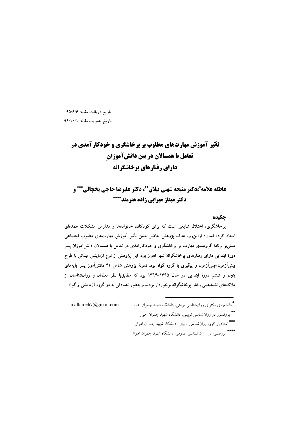تاریخ دریافت مقاله: ۹۵/۶/۶ تاريخ تصويب مقاله: ٩۶/١٠/١

# **تأثیر آموزش مهارتهای مطلوب بر پرخاشگری و خودکارآمدی در** تعامل با همسالان در بین دانشآموزان دارای رفتارهای برخاشگرانه

عاطفه علامه ً،دكتر منيجه شهني ييلاق \*\*، دكتر عليرضا حاجي يخجالي \*\*\* و دکتر مهناز مهرابی زاده هنرمند\*\*\*\*

### جكيده

یرخاشگری، اختلال شایعی است که برای کودکان، خانوادهها و مدارس مشکلات عمدهای ایجاد کرده است؛ ازاین٫رو، هدف یژوهش حاضر تعیین تأثیر آموزش مهارتهای مطلوب اجتماعی مبتنی بر برنامهٔ گروهبندی مهارت بر پرخاشگری و خودکارآمدی در تعامل با همسالان دانش آموزان پسر دورهٔ ابتدایی دارای رفتارهای پرخاشگرانهٔ شهر اهواز بود. این پژوهش از نوع آزمایشی میدانی با طرح پیشآزمون-پسآزمون و پیگیری با گروه گواه بود. نمونهٔ پژوهش شامل ۴۱ دانشآموز پسر پایههای ینجم و ششم دورهٔ ابتدایی در سال ۱۳۹۵–۱۳۹۴ بود که مطابق با نظر معلمان و روانشناسان از .<br>ملاکهای تشخیصی رفتار برخاشگرانه برخوردار بودند و بهطور تصادفی به دو گروه آزمایشی و گواه

\*<br>\* دانشجوی دکترای روانشناسی تربیتی، دانشگاه شهید چمران اهواز a.allameh7@gmail.com

- 
- \*\*<br>\* پروفسور در روانشناسی تربیتی، دانشگاه شهید چمران اهواز
- \*\*\*<br>استادیار گروه روانشناسی تربیتی، دانشگاه شهید چمران اهواز
- \*\*\*\*<br>یووفسور در روان شناسی عمومی، دانشگاه شهید چمران اهواز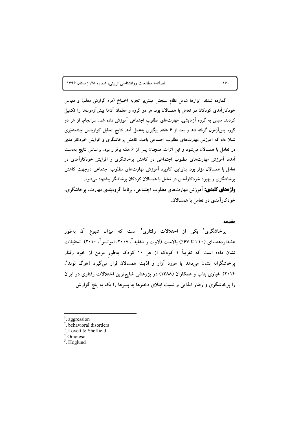فصلنامه مطالعات روانشناسی تربیتی، شماره ۲۸، زمستان ۱۳۹۶

گمارده شدند. ابزارها شامل نظام سنجش مبتنیبر تجربه آخنباخ (فرم گزارش معلم) و مقیاس خودکارآمدی کودکان در تعامل با همسالان بود. هر دو گروه و معلمان آنها پیشآزمونها را تکمیل کردند. سپس به گروه آزمایشی، مهارتهای مطلوب اجتماعی آموزش داده شد. سرانجام، از هر دو گروه پسآزمون گرفته شد و بعد از ۶ هفته، پیگیری بهعمل آمد. نتایج تحلیل کواریانس چندمتغیّری نشان داد که آموزش مهارتهای مطلوب اجتماعی باعث کاهش پرخاشگری و افزایش خودکارآمدی در تعامل با همسالان میشود و این اثرات همچنان پس از ۶ هفته برقرار بود. براساس نتایج بهدست آمده، آموزش مهارتهای مطلوب اجتماعی در کاهش پرخاشگری و افزایش خودکارآمدی در تعامل با همسالان مؤثر بود؛ بنابراین، کاربرد آموزش مهارتهای مطلوب اجتماعی درجهت کاهش یرخاشگری و بهبود خودکارآمدی در تعامل با همسالان کودکان پرخاشگر پیشنهاد می شود. **واژههای کلیدی:** آموزش مهارتهای مطلوب اجتماعی، برنامهٔ گروهبندی مهارت، پرخاشگری، خودکار آمدی در تعامل با همسالان.

#### مقدمه

پرخاشگری ٰ یکی از اختلالات رفتاری ٔ است که میزان شیوع آن بهطور هشداردهندهای (۱۰٪ تا ۶۷٪) بالاست (لاوت و شفلید"، ۲۰۰۷، اموتسو"، ۲۰۱۰). تحقیقات نشان داده است که تقریباً ۱ کودک از هر ۱۰ کودک بهطور مزمن از خود رفتار پرخاشگرانه نشان میدهد یا مورد آزار و اذیت همسالان قرار میگیرد (هوگ لوند<sup>0</sup>، ۲۰۱۴). غباری بناب و همکاران (۱۳۸۸) در یژوهشی شایع ترین اختلالات رفتاری در ایران را پرخاشگری و رفتار ایذایی و نسبت ابتلای دخترها به پسرها را یک به پنج گزارش

 $\mathsf{iv}\cdot$ 

<sup>&</sup>lt;sup>1</sup>. aggression

<sup>&</sup>lt;sup>2</sup>. behavioral disorders

 $3.$  Lovett & Sheffield

<sup>&</sup>lt;sup>4.</sup> Omoteso

 $<sup>5</sup>$ . Hoglund</sup>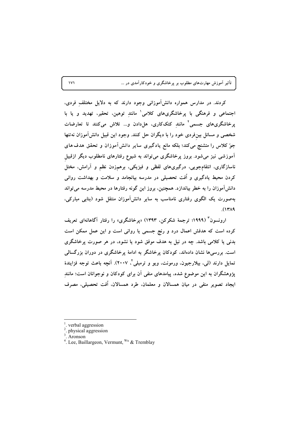تأثیر آموزش مهارتهای مطلوب بر پرخاشگری و خودکارآمدی در …

کردند. در مدارس همواره دانش آموزانی وجود دارند که به دلایل مختلف فردی، اجتماعی و فرهنگی با پرخاشگریهای کلامی' مانند توهین، تحقیر، تهدید و یا با یرخاشگریهای جسمی<sup>٬</sup> مانند کتککاری، هل۱ددن و… تلاش میکنند تا تعارضات شخصی و مسائل بینفردی خود را با دیگران حل کنند. وجود این قبیل دانش آموزان نهتنها جوٌ کلاس را متشنج میکند؛ بلکه مانع یادگیری سایر دانش آموزان و تحقق هدف های آموزشی نیز می شود. بروز پرخاشگری می تواند به شیوع رفتارهای نامطلوب دیگر ازقبیل ناسازگاری، انتقامجویی، درگیریهای لفظی و فیزیکی، برهمزدن نظم و آرامش، مختل کردن محیط یادگیری و اُفت تحصیلی در مدرسه بیانجامد و سلامت و بهداشت روانی دانشآموزان را به خطر بیاندازد. همچنین، بروز این گونه رفتارها در محیط مدرسه می تواند بهصورت یک الگوی رفتاری نامناسب به سایر دانشآموزان منتقل شود (بنابی مبارکی،  $(14A)$ 

ارونسون<sup>۳</sup> (۱۹۹۹؛ ترجمهٔ شکرکن، ۱۳۹۳) «یرخاشگری» را رفتار آگاهانهای تعریف کرده است که هدفش اعمال درد و رنج جسمی یا روانی است و این عمل ممکن است بدنمی یا کلامی باشد. چه در نیل به هدف موفق شود یا نشود، در هر صورت پرخاشگری است. بررسی۵ نشان دادهاند، کودکان پرخاشگر به ادامهٔ پرخاشگری در دوران بزرگسالی تمايل دارند (لي، بيلارجيون، ورمونت، ويو و ترمبلي ً، ٢٠٠٧). آنچه باعث توجه فزايندهٔ .<br>پژوهشگران به این موضوع شده، پیامدهای منفی آن برای کودکان و نوجوانان است؛ مانند ايجاد تصوير منفي در ميان همسالان و معلمان، طرد همسالان، اُفت تحصيلي، مصرف

 $\mathbf{v}$ 

verbal aggression

physical aggression

Aronson

<sup>&</sup>lt;sup>4</sup>. Lee, Baillargeon, Vermunt, <sup>Wu</sup> & Tremblay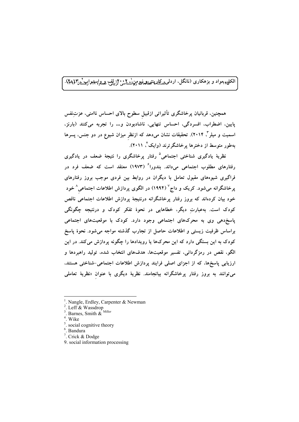الکلیه مواد و بزهکاری (نانگل، اردل<u>ی، کل</u>دینتهطهمنیومه،انشناین ۲: ایلف ه **واسېبراېي**ستان<sup>4</sup>(مېل).

همچنین، قربانیان پرخاشگری تأثیراتی ازقبیل سطوح بالای احساس ناامنی، عزتِنفس يايين، اضطراب، افسردگي، احساس تنهايي، ناشادبودن و... را تجربه مي كنند (بارنز، اسمیت و میلر"، ۲۰۱۴). تحقیقات نشان میدهد که ازنظر میزان شیوع در دو جنس، پسرها پهطور متوسط از دخترها برخاشگرترند (وایک ٔ، ۲۰۱۱).

نظریهٔ پادگیری شناختی اجتماعی<sup>۵</sup> رفتار پرخاشگری را نتیجهٔ ضعف در یادگیری رفتارهای مطلوب اجتماعی میداند. بندورا<sup>۶</sup> (۱۹۷۳) معتقد است که ضعف فرد در فراگیری شیوههای مقبول تعامل با دیگران در روابط بین فردی موجب بروز رفتارهای پرخاشگرانه میشود. کریک و داج<sup>۷</sup> (۱۹۹۴) در الگوی پردازش اطلاعات اجتماعی<sup>^</sup>خود خود بیان کردهاند که بروز رفتار پرخاشگرانه درنتیجهٔ پردازش اطلاعات اجتماعی ناقص کودک است. بهعبارتِ دیگر، خطاهایی در نحوهٔ تفکر کودک و درنتیجه چگونگی پاسخ دهی وی به محرکهای اجتماعی وجود دارد. کودک با موقعیتهای اجتماعی براساس ظرفیت زیستی و اطلاعات حاصل از تجارب گذشته مواجه میشود. نحوهٔ پاسخ کودک به این بستگی دارد که این محرکها یا رویدادها را چگونه پردازش میکند. در این الگو، نقص در رمزگردانی، تفسیر موقعیتها، هدفهای انتخاب شده، تولید راهبردها و ارزیابی پاسخها، که از اجزای اصلی فرایند پردازش اطلاعات اجتماعی-شناختی هستند، می توانند به بروز رفتار پرخاشگرانه بیانجامند. نظریهٔ دیگری با عنوان «نظریهٔ تعامل<sub>ی</sub>

9. social information processing

Nangle, Erdley, Carpenter & Newman

Leff & Wassdrop

<sup>&</sup>lt;sup>3</sup>. Barnes, Smith  $\&$ <sup>Miller</sup>

Wike

social cognitive theory

<sup>&</sup>lt;sup>6</sup>. Bandura

<sup>&</sup>lt;sup>7</sup>. Crick & Dodge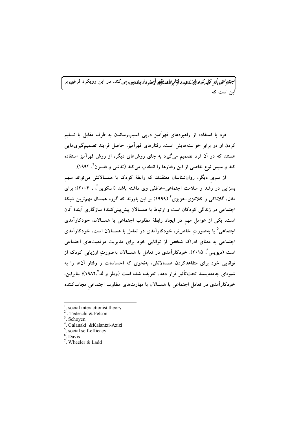<sub>په ن</sub>ايع کلماکوچهاليزلطندو نوارهلکشگرچر آميند ول<sub>ال</sub>برامچور مي کند. در اين رويکرد فرض بر

فرد با استفاده از راهبردهای قهرآمیز دریی آسیبرساندن به طرف مقابل یا تسلیم کردن او در برابر خواستههایش است. رفتارهای قهرآمیز، حاصل فرایند تصمیمگیریهایی هستند که در آن فرد تصمیم میگیرد به جای روشهای دیگر، از روش قهرآمیز استفاده کند و سپس نوع خاصی از این رفتارها را انتخاب میکند (تدشی و فلسون<sup>٬ ۱</sup>۹۹۴).

از سوی دیگر، روانشناسان معتقدند که رابطهٔ کودک با همسالانش میتواند سهم بسزایی در رشد و سلامت اجتماعی–عاطفی وی داشته باشد (اسکوین ٌ ، ۲۰۰۴)؛ برای مثال، گلاناکی و کلانتزی–عزیزی<sup>۶</sup> (۱۹۹۹) بر این باورند که گروه همسال مهمترین شبکهٔ اجتماعی در زندگی کودکان است و ارتباط با همسالان پیش بینی کنندهٔ سازگاری آیندهٔ آنان است. یکی از عوامل مهم در ایجاد رابطهٔ مطلوب اجتماعی با همسالان، خودکارآمدی اجتماعی<sup>۵</sup> یا بهصورت خاص تر، خودکارآمدی در تعامل با همسالان است. خودکارآمدی اجتماعی به معنای ادراک شخص از توانایی خود برای مدیریت موقعیتهای اجتماعی است (دیویس ٌ، ۲۰۱۵). خودکارآمدی در تعامل با همسالان بهصورت ارزیابی کودک از توانایی خود برای متقاعدکردن همسالانش، بهنحوی که احساسات و رفتار آنها را به شیوهای جامعهیسند تحتتأثیر قرار دهد، تعریف شده است (ویلر و لد°\۱۹۸۲)؛ بنابراین، خودکارآمدی در تعامل اجتماعی با همسالان با مهارتهای مطلوب اجتماعی مجابکننده

social interactionist theory

<sup>.</sup> Tedeschi & Felson

 $3.$  Schoyen

<sup>&</sup>lt;sup>4</sup>. Galanaki &Kalantzi-Azizi

<sup>&</sup>lt;sup>5</sup>. social self-efficacy

 $6$ . Davis

 $7.$  Wheeler & Ladd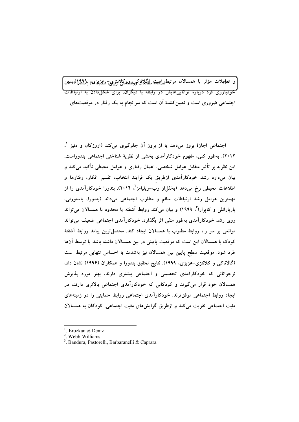و تعلمهلات مؤثر با همسالان مرتبط<sub>فط</sub>ليبهتم مطگلاناكي،اشناكيلانتزيبي<del>, شيم</del>زيزيمبر <sub>ن</sub>ويمبرا كروالمين خودباوری فرد دربارهٔ تواناییهایش در رابطه با دیگران، برای شکل<mark>(دادن به ارتباطات</mark> اجتماعی ضروری است و تعیین کنندهٔ آن است که سرانجام به یک رفتار در موقعیتهای

اجتماعی اجازهٔ بروز می،دهد یا از بروز آن جلوگیری میکند (اروزکان و دنیز `، ۲۰۱۲). بهطور کلی، مفهوم خودکارآمدی بخشی از نظریهٔ شناختی اجتماعی بندوراست. این نظریه بر تأثیر متقابل عوامل شخصی، اعمال رفتاری و عوامل محیطی تأکید میکند و بیان میدارد رشد خودکارآمدی ازطریق یک فرایند انتخاب، تفسیر افکار، رفتارها و اطلاعات محیطی رخ می،هد (بهنقل|ز وب–ویلیامز<sup>۲</sup>، ۲۰۱۴). بندورا خودکارآمدی را از مهمترین عوامل رشد ارتباطات سالم و مطلوب اجتماعی میداند (بندورا، پاستورلی، باربارانلی و کاپرارا<sup>۲</sup>، ۱۹۹۹) و بیان میکند روابط آشفته یا محدود با همسالان می¤واند روی رشد خودکارآمدی بهطور منفی اثر بگذارد. خودکارآمدی اجتماعی ضعیف می¤واند موانعی بر سر راه روابط مطلوب با همسالان ایجاد کند. محتمل،ترین پیامد روابط اَشفتهٔ کودک با همسالان این است که موقعیت پایینی در بین همسالان داشته باشد یا توسط آنها طرد شود. موقعیت سطح پایین بین همسالان نیز بهشدت با احساس تنهایی مرتبط است (گالاناکی و کلانتزی-عزیزی، ۱۹۹۹). نتایج تحقیق بندورا و همکاران (۱۹۹۶) نشان داد. نوجوانان<sub>ی</sub> که خودکارآمدی تحصیلی و اجتماعی بیشتری دارند، بهتر مورد پذیرش همسالان خود قرار میگیرند و کودکانی که خودکارآمدی اجتماعی بالاتری دارند، در ایجاد روابط اجتماعی موفق ترند. خودکارآمدی اجتماعی روابط حمایتی را در زمینههای مثبت اجتماعی تقویت می کند و ازطریق گرایشهای مثبت اجتماعی، کودکان به همسالان

<sup>&</sup>lt;sup>1</sup>. Erozkan & Deniz

<sup>&</sup>lt;sup>2</sup>. Webb-Williams

<sup>&</sup>lt;sup>3</sup>. Bandura, Pastorelli, Barbaranelli & Caprara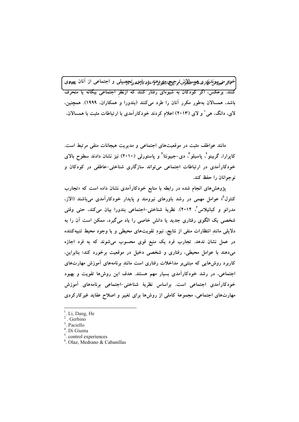خواير م<sub>قه</sub>پپوندليل په پهچېمللان ترجيحهشيمي دهند دو پاوترين چصبيلي و اجتماعي از آنان پيهوي <sup>م</sup>کنند. برعکس، اگر کودکان به شیوهای رفتار کنند که ازنظر اجتماعی بیگانه یا منحرف باشد، همسالان بهطور مکرر آنان را طرد می کنند (بندورا و همکاران، ۱۹۹۹). همچنین، لای، دانگ، هی ٰ و لای (۲۰۱۳) اعلام کردند خودکارآمدی با ارتباطات مثبت با همسالان.

مانند عواطف مثبت در موقعیتهای اجتماعی و مدیریت هیجانات منفی مرتبط است. کاپرارا، گربینو"، پاسپلو"، دی-جیبونتا" و پاستورلی (۲۰۱۰) نیز نشان دادند سطوح بالای خودکارآمدی در ارتباطات اجتماعی میتواند سازگاری شناختی-عاطفی در کودکان و نوجوانان را حفظ کند.

پژوهشهای انجام شده در رابطه با منابع خودکارآمدی نشان داده است که «تجارب کنترل°، عوامل مهمی در رشد باورهای نیرومند و پایدار خودکارآمدی میباشند (الاز، مدرانو و کبانیلاس ٔ، ۲۰۱۴). نظریهٔ شناختی-اجتماعی بندورا بیان میکند، حتی وقتی شخصی یک الگوی رفتاری جدید یا دانش خاصی را یاد میگیرد، ممکن است اَن را به دلایلی مانند انتظارات منفی از نتایج، نبود تقویتهای محیطی و یا وجود محیط تنبیهکننده در عمل نشان ندهد. تجارب فرد یک منبع قوی محسوب میشوند که به فرد اجازه میدهند با عوامل محیطی، رفتاری و شخصی دخیل در موقعیت برخورد کند؛ بنابراین، کاربرد روش۵ایی که مبتنی بر مداخلات رفتاری است مانند برنامههای اَموزش مهارتهای اجتماعی، در رشد خودکارآمدی بسیار مهم هستند. هدف این روشها تقویت و بهبود خودکارآمدی اجتماعی است. براساس نظریهٔ شناختی-اجتماعی برنامههای آموزش مهارتهای اجتماعی، مجموعهٔ کاملی از روشها برای تغییر و اصلاح عقاید غیرکارکردی

- <sup>1</sup>. Li, Dang, He
- . Gerbino
- <sup>3</sup> Paciello
- <sup>4</sup>. Di Giunta
- <sup>5</sup>. control experiences
- <sup>6</sup>. Olaz, Medrano & Cabanillas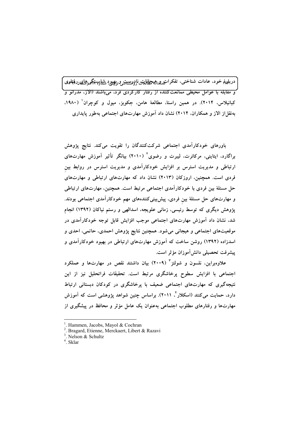دربليرۇم خود. عادات شناختى. تفكرات<sub>خى</sub>للى<sub>ائ</sub>ىيىچانلىتىنادورىيىيىتىرويېيىپودېشىلېيىتېگىيىچايىن فېلىمېي .<br>و مقابله با عوامل محیطی ممانعتکننده از رفتار کارکردی فرد، می باشند (الآز، مدرانو و کبانیلاس، ۲۰۱۴). در همین راستا، مطالعهٔ هامن، جکوبز، میول و کوچران (۱۹۸۰، بهنقل از الاز و همکاران، ۲۰۱۴) نشان داد آموزش مهارتهای اجتماعی بهطور پایداری

باورهای خودکارآمدی اجتماعی شرکتکنندگان را تقویت میکند. نتایج پژوهش براگارد، ایتاینی، مرکائرت، لیبرت و رضوی<sup>٬ (</sup> ۲۰۱۰) بیانگر تأثیر آموزش مهارتهای ارتباطی و مدیریت استرس بر افزایش خودکارآمدی و مدیریت استرس در روابط بین فردی است. همچنین، اروزکان (۲۰۱۳) نشان داد که مهارتهای ارتباطی و مهارتهای حل مسئلهٔ بین فردی با خودکارآمدی اجتماعی مرتبط است. همچنین، مهارتهای ارتباطی و مهارتهای حل مسئلهٔ بین فردی، پیشبینیکنندههای مهم خودکارآمدی اجتماعی بودند. پژوهش دیگری که توسط رئیسی، زمانی علویجه، اسدالهی و رستم نیاکان (۱۳۹۲) انجام شد، نشان داد آموزش مهارتهای اجتماعی موجب افزایش قابل توجه خودکارآمدی در موقعیتهای اجتماعی و هیجانی میشود. همچنین نتایج پژوهش احمدی، حاتمی، احدی و اسدزاده (۱۳۹۲) روشن ساخت که آموزش مهارتهای ارتباطی در بهبود خودکارآمدی و پیشرفت تحصیلی دانشlموزان مؤثر است.

علاوهبراین، نلسون و شولتز " (۲۰۰۹) بیان داشتند نقص در مهارتها و عملکرد اجتماعی با افزایش سطوح پرخاشگری مرتبط است. تحقیقات فراتحلیل نیز از این نتیجهگیری که مهارتهای اجتما*عی ضعیف* با پرخاشگری در کودکان دبستانی ارتباط دارد، حمایت میکنند (اسکلار ٔ، ۲۰۱۱). براساس چنین شواهد پژوهشی است که آموزش مهارتها و رفتارهای مطلوب اجتماعی بهعنوان یک عامل مؤثر و محافظ در پیشگیری از

<sup>&</sup>lt;sup>1</sup>. Hammen, Jacobs, Mayol & Cochran

<sup>&</sup>lt;sup>2</sup>. Bragard, Etienne, Merckaert, Libert & Razavi

<sup>&</sup>lt;sup>3</sup>. Nelson & Schultz

 $4$  Sklar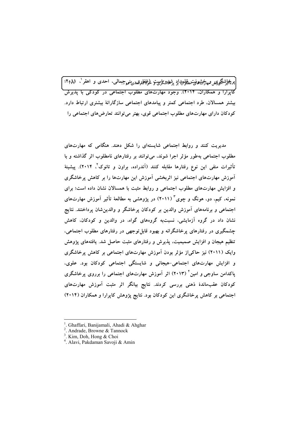ت<del>أت</del>اشتَگريمه مهاجشهانپ مطهلمهال شعاشکاست لرغفارقد، بني جيمالي، احدي و اهقر ، ١٨٨١: <mark>کاپرارا و همکاران، ۲۰۱۴). وجود مهارتهای مطلوب اجتماعی در کودکی با پذیرش</mark> بیشتر همسالان. طرد اجتماعی کمتر و پیامدهای اجتماعی سازگارانهٔ بیشتری ارتباط دارد. کودکان دارای مهارتهای مطلوب اجتماعی قوی، بهتر می توانند تعارضهای اجتماعی را

مدیریت کنند و روابط اجتماعی شایستهای را شکل دهند. هنگامی که مهارتهای مطلوب اجتماعی بهطور مؤثر اجرا شوند، می توانند بر رفتارهای نامطلوب اثر گذاشته و با تأثیرات منفی این نوع رفتارها مقابله کنند (آندراده، براون و تانوک<sup>٬</sup>، ۲۰۱۴). پیشینهٔ آموزش مهارتهای اجتماعی نیز اثربخشی آموزش این مهارتها را بر کاهش پرخاشگری و افزایش مهارتهای مطلوب اجتماعی و روابط مثبت با همسالان نشان داده است؛ برای نمونه، کیم، دو، هونگ و چوی ٔ (۲۰۱۱) در پژوهشی به مطالعهٔ تأثیر آموزش مهارتهای اجتماعی و برنامههای آموزش والدین بر کودکان پرخاشگر و والدینِشان پرداختند. نتایج نشان داد در گروه آزمایشی، نسبتبه گروههای گواه، در والدین و کودکان، کاهش چشمگیری در رفتارهای پرخاشگرانه و بهبود قابل توجهی در رفتارهای مطلوب اجتماعی، تنظیم هیجان و افزایش صمیمیت، پذیرش و رفتارهای مثبت حاصل شد. یافتههای پژوهش وایک (۲۰۱۱) نیز حاکی|ز مؤثر بودن آموزش مهارتهای اجتماعی بر کاهش پرخاشگری و افزایش مهارتهای اجتماعی-هیجانی و شایستگی اجتماعی کودکان بود. علوی، یاکدامن ساوجی و امین ٔ (۲۰۱۳) اثر آموزش مهارتهای اجتماعی را برروی پرخاشگری کودکان عقبماندهٔ ذهنی بررسی کردند. نتایج بیانگر اثر مثبت آموزش مهارتهای اجتماعی بر کاهش پرخاشگری این کودکان بود. نتایج پژوهش کاپرارا و همکاران (۲۰۱۴)

<sup>&</sup>lt;sup>1</sup>. Ghaffari, Banijamali, Ahadi & Ahghar

<sup>&</sup>lt;sup>2</sup>. Andrade, Browne  $&$  Tannock

<sup>&</sup>lt;sup>3</sup>. Kim, Doh, Hong & Choi

<sup>&</sup>lt;sup>4</sup>. Alavi, Pakdaman Savoji & Amin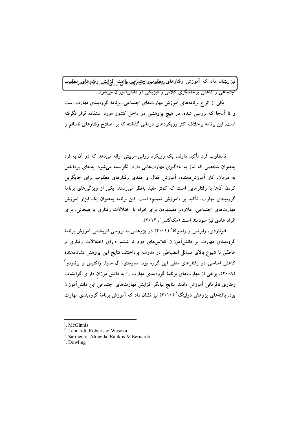نیز پنهثهان داد که آموزش رفتارهای <u>مهطله پیمال<del>یه</del>ت</u>ماچینشنایی د بافزایشهاردفتارهمای وطلح ب .<br>اجتماعی و کاهش برخاشگری کلامی و فیزیکی در دانشآموزان می شود.

یکی از انواع برنامههای آموزش مهارتهای اجتماعی، برنامهٔ گروهبندی مهارت است و تا آنجا که بررسی شده، در هیچ پژوهشی در داخل کشور مورد استفاده قرار نگرفته است. این برنامه برخلاف اکثر رویکردهای درمانی گذشته که بر اصلاح رفتارهای ناسالم و

نامطلوب فرد تأکید دارند، یک رویکرد روانی-تربیتی ارائه میدهد که در آن به فرد بهعنوان شخصی که نیاز به یادگیری مهارتهایی دارد، نگریسته میشود. بهجای پرداختن به درمان، کار آموزشدهنده، آموزش فعال و عمدی رفتارهای مطلوب برای جایگزین کردن آنها با رفتارهایی است که کمتر مفید بهنظر می رسند. یکی از ویژگیهای برنامهٔ گروهبندی مهارت، تأکید بر «آموزش تعمیم» است. این برنامه بهعنوان یک ابزار آموزش مهارتهای اجتماعی، علاوهبر مفیدبودن برای افراد با اختلالات رفتاری یا هیجانی، برای افراد عادی نیز سودمند است (مکگنس/، ۲۰۱۲).

لئوناردی، رابرتس و واسوکا<sup>۲</sup> (۲۰۰۱) در پژوهشی به بررسی اثربخشی آموزش برنامهٔ گروهبندی مهارت بر دانشآموزان کلاسهای دوم تا ششم دارای اختلالات رفتاری و عاطفی با شیوع بالای مسائل انضباطی در مدرسه پرداختند. نتایج این پژوهش نشاندهندهٔ کاهش اساسی در رفتارهای منفی این گروه بود. سارمنتو، آل مدیا، راکتیس و برناردو <sup>۳</sup> (۲۰۰۸)، برخی از مهارتهای برنامهٔ گروهبندی مهارت را به دانش آموزان دارای گرایشات رفتاری نافرمانی آموزش دادند. نتایج بیانگر افزایش مهارتهای اجتماعی این دانش آموزان بود. یافتههای پژوهش دولینگ ٔ (۲۰۱۰) نیز نشان داد که آموزش برنامهٔ گروهبندی مهارت

<sup>.</sup> McGinnis

<sup>&</sup>lt;sup>2</sup>. Leonardi, Roberts & Wasoka

<sup>&</sup>lt;sup>3</sup>. Sarmento, Almeida, Rauktis & Bernardo

<sup>&</sup>lt;sup>4</sup>. Dowling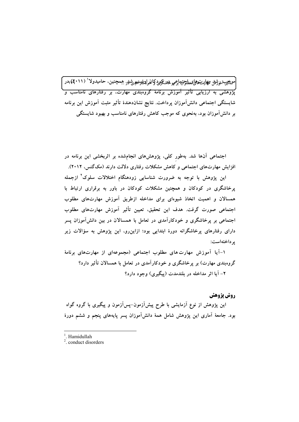.<br>مو<del>نائي</del>ير آموژنيل مهارىتحاملى، علي الوحيد الجمهود المواسي السلام على السلام على السلام العاملية عليه المواطن ( **۲۰۱۱)** ادر .<br>یژوهشی به ارزیابی تأثیر آموزش برنامهٔ گروهبندی مهارت، بر رفتارهای نامناسب و ٔ شایستگی اجتماعی دانش آموزان پرداخت. نتایج نشاندهندهٔ تأثیر مثبت آموزش این برنامه بر دانشآموزان بود، بهنحوی که موجب کاهش رفتارهای نامناسب و بهبود شایستگی

اجتماعی آنها شد. بهطور کلی، پژوهشهای انجامشده بر اثربخشی این برنامه در افزایش مهارتهای اجتماعی و کاهش مشکلات رفتاری دلالت دارند (مکگنس، ۲۰۱۲).

این پژوهش با توجه به ضرورت شناسایی زودهنگام اختلالات سلوک<sup>۲</sup> ازجمله پرخاشگری در کودکان و همچنین مشکلات کودکان در باور به برقراری ارتباط با همسالان و اهمیت اتخاذ شیوهای برای مداخله ازطریق آموزش مهارتهای مطلوب اجتماعی صورت گرفت. هدف این تحقیق، تعیین تأثیر آموزش مهارتهای مطلوب اجتماعی بر پرخاشگری و خودکارآمدی در تعامل با همسالان در بین دانشآموزان پسر دارای رفتارهای پرخاشگرانه دورهٔ ابتدایی بود؛ ازاین٫و، این پژوهش به سؤالات زیر ير داختهاست:

۱-آیا آموزش مهارت های مطلوب اجتماعی (مجموعهای از مهارتهای برنامهٔ گروهبندی مهارت) بر پرخاشگری و خودکارآمدی در تعامل با همسالان تأثیر دارد؟ ۲- آيا اثر مداخله در بلندمدت (پيگيري) وجود دارد؟

روش پژوهش

این پژوهش از نوع آزمایشی با طرح پیش[زمون–پس[زمون و پیگیری با گروه گواه بود. جامعهٔ آماری این پژوهش شامل همهٔ دانش[موزان پسر پایههای پنجم و ششم دورهٔ

Hamidullah

 $2$  conduct disorders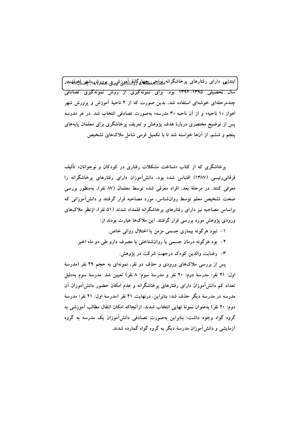ّ ابتداپىي داراى رفتارهاى پرخاشگرانە<u>نفىللىمىمىتېتىلوگانۇشآيەن</u>ىشىيى پىرپرشمىن<sup>ى</sup>شىستاۋ*دىل*مۇنىمىن سال تحصیلی ۱۳۹۵–۱۳۹۴ بود. برای نمونهگیری از روش نمونهگیری تصادفی چندمرحلهای خوشهای استفاده شد، بدین صورت که از ۴ ناحیهٔ آموزش و پرورش شهر اهواز «۱ ناحیه» و از آن ناحیه «۳ مدرسه» بهصورت تصادفی انتخاب شد. در هر مدرسه پس از توضیح مختصری دربارهٔ هدف پژوهش و تعریف پرخاشگری برای معلمان پایههای پنجم و ششم، از آنها خواسته شد تا با تکمیل فرمی شامل ملاکهای تشخیص

پرخاشگری که از کتاب «شناخت مشکلات رفتاری در کودکان و نوجوانان» تألیف فرقانی٫رئیسی (۱۳۸۷) اقتباس شده بود، دانشآموزان دارای رفتارهای پرخاشگرانه را معرفی کنند. در مرحلهٔ بعد، افراد معرفی شده توسط معلمان (۸۷ نفر)، بهمنظور بررسی صحت تشخیص معلم توسط روانشناس، مورد مصاحبه قرار گرفتند و دانش[موزانی که براساس مصاحبه نیز دارای رفتارهای پرخاشگرانه قلمداد شدند (۵۱ نفر)، ازنظر ملاکهای ورودی پژوهش مورد بررسی قرار گرفتند. این ملاکها عبارت بودند از:

۱– نبود هرگونه بیماری جسمی مزمن یا اختلال روانی خاص. ۲- بود هرگونه درمان جسمی یا روانشناختی یا مصرف دارو طی دو ماه اخیر. ٣- رضايت والدين كودك درجهت شركت در يژوهش.

پس از بررسی ملاکهای ورودی و حذف دو نفر، نمونهای به حجم ۴۹ نفر (مدرسهٔ اول: ٢١ نفر؛ مدرسة دوم: ٢٠ نفر و مدرسة سوم: ٨ نفر) تعيين شد. مدرسة سوم بهدليل تعداد کم دانشآموزان دارای رفتارهای پرخاشگرانه و عدم امکان حضور دانشآموزان آن مدرسه در مدرسهٔ دیگر حذف شد؛ بنابراین، درنهایت ۴۱ نفر (مدرسهٔ اول: ۲۱ نفر؛ مدرسهٔ دوم: ۲۰ نفر) بهعنوان نمونهٔ نهایی انتخاب شدند. ازآنجاکه امکان انتقال مطالب آموزشی به گروه گواه وجود داشت؛ بنابراین بهصورت تصادفی دانشآموزان یک مدرسه به گروه آزمایشی و دانش آموزان مدرسهٔ دیگر به گروه گواه گمارده شدند.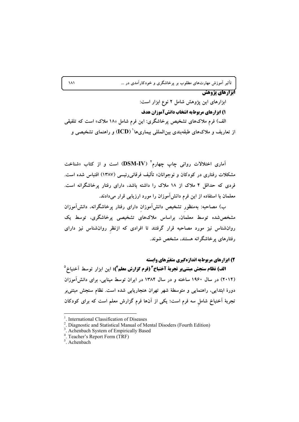تأثیر آموزش مهارتهای مطلوب بر پرخاشگری و خودکارآمدی در …

## **ایزارهای یژوهش**

ابزارهای این پژوهش شامل ۲ نوع ابزار است:

۱) ابزارهای مربوطبه انتخاب دانش آموزان هدف

الف) فرم ملاکهای تشخیص پرخاشگری: این فرم شامل «۱۸ ملاک» است که تلفیقی از تعاریف و ملاکهای طبقهبندی بین|لمللی بیماریها ٔ (ICD) و راهنمای تشخیصی و

آماری اختلالات روانی چاپ چهارم<sup>۲</sup> (DSM-IV) است و از کتاب «شناخت مشکلات رفتاری در کودکان و نوجوانان» تألیف فرقانیررئیسی (۱۳۸۷) اقتباس شده است. فردی که حداقل ۴ ملاک از ۱۸ ملاک را داشته باشد، دارای رفتار پرخاشگرانه است. معلمان با استفاده از این فرم دانشآموزان را مورد ارزیابی قرار میدادند.

ب) مصاحبه: بهمنظور تشخیص دانشآموزان دارای رفتار پرخاشگرانه، دانشآموزان مشخص شده توسط معلمان، براساس ملاکهای تشخیصی پرخاشگری، توسط یک روانشناس نیز مورد مصاحبه قرار گرفتند تا افرادی که ازنظر روانشناس نیز دارای رفتارهای پرخاشگرانه هستند، مشخص شوند.

2) ابزارهای مربوطبه اندازهگیری متغیّرهای وابسته

**الف) نظام سنجش مبتنىبر تجربة آخنباخ ؓ (فرم گزارش معلم ؓ):** اين ابزار توسط اَخنباخ <sup>٥</sup> (۲۰۱۴) در سال ۱۹۶۰ ساخته و در سال ۱۳۸۴ در ایران توسط مینایی، برای دانش آموزان دورهٔ ابتدایی، راهنمایی و متوسطهٔ شهر تهران هنجاریابی شده است. نظام سنجش مبتنی بر تجربهٔ اَخنباخ شامل سه فرم است؛ یکی از اَنها فرم گزارش معلم است که برای کودکان

 $\lambda$ 

<sup>&</sup>lt;sup>1</sup>. International Classification of Diseases

<sup>&</sup>lt;sup>2</sup>. Diagnostic and Statistical Manual of Mental Disoders (Fourth Edition)

<sup>&</sup>lt;sup>3</sup>. Achenbach System of Empirically Based

<sup>&</sup>lt;sup>4</sup>. Teacher's Report Form (TRF)

 $\frac{5}{3}$ . Achenbach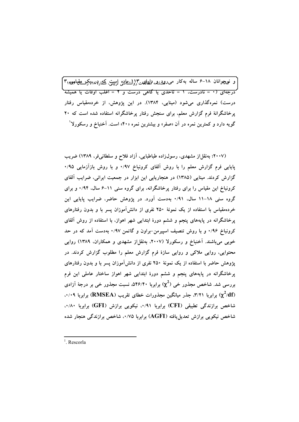و نعچوانان ۱۸–۶ ساله بهکار مىروپ<sub>ىتىل</sub>ىيەپھلاھەت\{وانشتاشى لِرستى،كىمەرډىرىېكىسىتىقيان*چى "* .<br>درجهای (• = نادرست، ۱ = تاحدی یا گاهی درست و ۲ = اغلب اوقات یا همیشه درست) نمرهگذاری میشود (مینایی، ۱۳۸۴). در این پژوهش، از خردهمقیاس رفتار پرخاشگرانهٔ فرم گزارش معلم، برای سنجش رفتار پرخاشگرانه استفاده شده است که ۲۰ گویه دارد و کمترین نمره در آن «صفر» و بیشترین نمره «۴۰» است. آخنباخ و رسکورلا<sup>۱</sup>

(۲۰۰۷؛ بهنقلاز مشهدی، رسول(اده طباطبایی، آزاد فلاح و سلطانی فر، ۱۳۸۹) ضریب پایایی فرم گزارش معلم را با روش آلفای کرونباخ ۰/۹۷ و با روش بازآزمایی ۰/۹۵ گزارش کردند. مینایی (۱۳۸۵) در هنجاریابی این ابزار در جمعیت ایرانی، ضرایب آلفای کرونباخ این مقیاس را برای رفتار پرخاشگرانه، برای گروه سنی ۱۱–۶ سال، ۰/۹۴ و برای گروه سنی ۱۸–۱۱ سال، ۰/۹۱ بهدست آورد. در پژوهش حاضر، ضرایب پایایی این خردهمقیاس با استفاده از یک نمونهٔ ۲۵۰ نفری از دانش[موزان پسر با و بدون رفتارهای پرخاشگرانه در پایههای پنجم و ششم دورهٔ ابتدایی شهر اهواز، با استفاده از روش آلفای کرونباخ ۰/۹۶ و با روش تنصیف اسپیرمن-براون و گاتمن ۰/۹۷ بهدست آمد که در حد خوبی میباشند. آخنباخ و رسکورلا (۲۰۰۷، بهنقلاز مشهدی و همکاران، ۱۳۸۹) روایی محتوایی، روایی ملاکی و روایی سازهٔ فرم گزارش معلم را مطلوب گزارش کردند. در پژوهش حاضر با استفاده از یک نمونهٔ ۲۵۰ نفری از دانشآموزان پسر با و بدون رفتارهای پرخاشگرانه در پایههای پنجم و ششم دورهٔ ابتدایی شهر اهواز ساختار عاملی این فرم بررسی شد. شاخص مجذور خی  $(\chi^2)$  برابربا ۵۴۶/۴۰، نسبت مجذور خی بر درجهٔ آزادی ۰/۰۹ برابربا ۳/۲۱. جذر میانگین مجذورات خطای تقریب (RMSEA) برابربا ۰/۰۹. شاخص برازندگی تطبیقی (CFI) برابربا ۰/۹۱، نیکویی برازش (GFI) برابربا ۰/۸۰، شاخص نیکویی برازش تعدیلیافته (AGFI) برابربا ۰/۷۵، شاخص برازندگی هنجار شده

<sup>&</sup>lt;sup>1</sup> Rescorla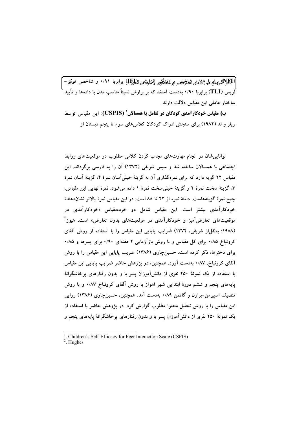.<br>(4)پراپههوپراپرېلها(۵)پای شطخص برلفانیکچی افغایتخوا آلهایچ یا (برابربا ۰/۹۱ و شاخص توپکر – .<br>لویس (TLI) برابربا ۰/۹۰ بهدست آمدند که بر برازش نسبتاً مناسب مدل با دادهها و تأیید ساختار عاملی این مقیاس دلالت دارند.

ب) مقیاس خودکارآمدی کودکان در تعامل با همسالان ( CSPIS): این مقیاس توسط ویلر و لد (۱۹۸۲) برای سنجش ادراک کودکان کلاس های سوم تا پنجم دبستان از

توانایی شان در انجام مهارتهای مجاب کردن کلامی مطلوب در موقعیتهای روابط اجتماعی با همسالان ساخته شد و سپس شریفی (۱۳۷۲) آن را به فارسی برگرداند. این مقیاس ۲۲ گویه دارد که برای نمرهگذاری آن به گزینهٔ خیلی آسان نمرهٔ ۴، گزینهٔ آسان نمرهٔ ۳. گزینهٔ سخت نمرهٔ ۲ و گزینهٔ خیلی سخت نمرهٔ ۱ داده میشود. نمرهٔ نهایی این مقیاس، جمع نمرهٔ گزینههاست. دامنهٔ نمره از ۲۲ تا ۸۸ است. در این مقیاس نمرهٔ بالاتر نشاندهندهٔ خودکارآمدی بیشتر است. این مقیاس شامل دو خردهمقیاس «خودکارآمدی در موقعیتهای تعارض آمیز و خودکارآمدی در موقعیتهای بدون تعارض» است. هیوز<sup>۲</sup> (۱۹۸۸؛ بهنقلاز شریفی، ۱۳۷۲) ضرایب پایایی این مقیاس را با استفاده از روش آلفای کرونباخ ۰/۸۵ برای کل مقیاس و با روش بازآزمایی ۲ هفتهای ۰/۹۰ برای پسرها و ۰/۸۵ برای دخترها، ذکر کرده است. حسینچاری (۱۳۸۶) ضریب پایایی این مقیاس را با روش آلفای کرونباخ، ۰/۸۷ بهدست آورد. همچنین، در پژوهش حاضر ضرایب پایایی این مقیاس با استفاده از یک نمونهٔ ۲۵۰ نفری از دانشآموزان پسر با و بدون رفتارهای پرخاشگرانهٔ پایههای پنجم و ششم دورهٔ ابتدایی شهر اهواز با روش آلفای کرونباخ ۰/۸۷ و با روش تنصیف اسپیرمن-براون و گاتمن ۰/۸۹ بهدست آمد. همچنین، حسینچاری (۱۳۸۶) روایی این مقیاس را با روش تحلیل محتوا مطلوب گزارش کرد. در پژوهش حاضر با استفاده از یک نمونهٔ ۲۵۰ نفری از دانشآموزان پسر با و بدون رفتارهای پرخاشگرانهٔ پایههای پنجم و

<sup>&</sup>lt;sup>1</sup>. Children's Self-Efficacy for Peer Interaction Scale (CSPIS)

 $2.$  Hughes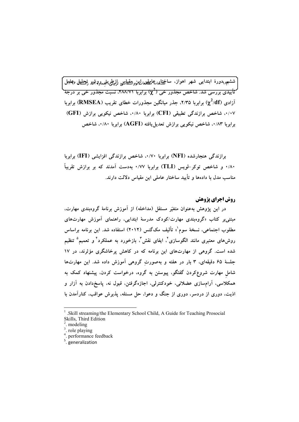ششىم<sub>لا</sub>دورهٔ ابتدايى شهر اهواز، ساخت<u>ىلد<sub>ام</sub>ىمايىلملمال</u>يىز<sub>وا</sub>ئىقىياتىيى ل<u>زىطرې</u>قىمېرپى<sup>تېر</sup>ى تې<del>جلىل</del> ع<sup>ىمل</sup>لىل تأییدی بررسی شد. شاخص مجذور خی (2°) برابربا ۴۸۸/۷۱، نسبت مجذور خی بر درجة آزادی ( $\chi^2/\mathrm{df}$ ) برابربا ۲/۳۵، جذر میانگین مجذورات خطای تقریب (RMSEA) برابربا ۰/۰۷، شاخص برازندگی تطبیقی (CFI) برابربا ۰/۸۰، شاخص نیکویی برازش (GFI) برابربا ۸۳٪۰، شاخص نیکویی برازش تعدیل یافته (AGFI) برابربا ۰/۸۰، شاخص

برازندگی هنجارشده (NFI) برابربا ۰/۷۰، شاخص برازندگی افزایشی (IFI) برابربا ۰/۸۰ و شاخص توکر-لویس (TLI) برابربا ۰/۷۷ بهدست آمدند که بر برازش تقریباً مناسب مدل با دادهها و تأييد ساختار عاملي اين مقياس دلالت دارند.

## روش اجراي يژوهش

در این یژوهش بهعنوان متغیّر مستقل (مداخله) از آموزش برنامهٔ گروهبندی مهارت، مبتنی بر کتاب «گروهبندی مهارت/کودک مدرسهٔ ابتدایی، راهنمای آموزش مهارتهای مطلوب اجتماعی، نسخهٔ سوم'» تألیف مکگنس (۲۰۱۲) استفاده شد. این برنامه براساس روشهای معتبری مانند الگوسازی<sup>٬</sup>، ایفای نقش٬ بازخورد به عملکرد٬ و تعمیم<sup>۵</sup> تنظیم شده است. گروهی از مهارتهای این برنامه که در کاهش پرخاشگری مؤثرند، در ۱۷ جلسهٔ ۶۵ دقیقهای، ۳ بار در هفته و بهصورت گروهی آموزش داده شد. این مهارتها شامل مهارت شروع**کردن گفتگو، پیوستن به گروه، درخواست کردن**، پیشنهاد کمک به همکلاسی، آرامسازی عضلانی، خودکنترلی، اجازهگرفتن، قبول نه، پاسخدادن به آزار و اذیت، دوری از دردسر، دوری از جنگ و دعوا، حل مسئله، پذیرش عواقب، کنارآمدن با

<sup>.</sup>Skill streaming/the Elementary School Child, A Guide for Teaching Prosocial Skills, Third Edition

<sup>.</sup> modeling

<sup>&</sup>lt;sup>3</sup>. role playing

<sup>.</sup> performance feedback

 $5.5$  generalization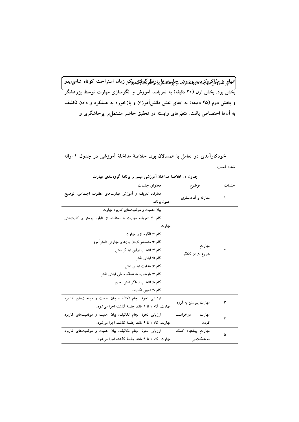.<br>|اتىھايمرىقىمۇنىلكىھھكرىدىنا،يېرىمللوهب بې<sup>چ</sup>لپرىغانىگىرىي(ن<del>ظ</del>ىرگىنۇتتىدىكىر زمان استراحت كوتاە شامل*وپەدو* / ر<br>بخش بود. بخش اول (۲۰ دقیقه) به تعریف، آموزش و الگوسازی مهارت توسط پژوهشگر و بخش دوم (۴۵ دقیقه) به ایفای نقش دانش[موزان و بازخورد به عملکرد و دادن تکلیف به آنها اختصاص یافت. متغیّرهای وابسته در تحقیق حاضر مشتمل بر پرخاشگری و

حده ل ۱ خلاصهٔ مداخلهٔ آمه زشیه میتند و دنامهٔ گروه بندی مهارت

| موضوع                 | محتواي جلسات                                              |
|-----------------------|-----------------------------------------------------------|
| معارفه و أمادهسازی    | معارفه، تعریف و أموزش مهارتهای مطلوب اجتماعی، توضیح       |
|                       | اصول برنامه                                               |
|                       | بیان اهمیت و موقعیتهای کاربرد مهارت                       |
|                       | گام ۱: تعریف مهارت با استفاده از تابلو، پوستر و کارتهای   |
|                       | مهارت                                                     |
|                       | گام ۲: الگوسازی مهارت                                     |
|                       | گام ۳: مشخص کردن نیازهای مهارتی دانش[موز                  |
| مهارتِ                | گام ۴: انتخاب اولین ایفاگر نقش                            |
| شروع كردن گفتگو       | گام ۵: ایفای نقش                                          |
|                       | گام ۶: هدایت ایفای نقش                                    |
|                       | گام ۷: بازخورد به عملکرد طی ایفای نقش                     |
|                       | گام ۸: انتخاب ایفاگر نقش بعدی                             |
|                       | گام ۹: تعیین تکالیف                                       |
|                       | ارزیابی نحوهٔ انجام تکالیف، بیان اهمیت و موقعیتهای کاربرد |
| مهارتِ پيوستن به گروه | مهارت، گام ۱ تا ۹ مانند جلسهٔ گذشته اجرا میشود.           |
| مهارتِ<br>درخواست     | ارزیابی نحوهٔ انجام تکالیف، بیان اهمیت و موقعیتهای کاربرد |
| كردن                  | مهارت، گام ۱ تا ۹ مانند جلسهٔ گذشته اجرا میشود.           |
| مهارت پیشنهاد کمک     | ارزیابی نحوهٔ انجام تکالیف، بیان اهمیت و موقعیتهای کاربرد |
| به همکلاسی            | مهارت، گام ۱ تا ۹ مانند جلسهٔ گذشته اجرا میشود.           |
|                       |                                                           |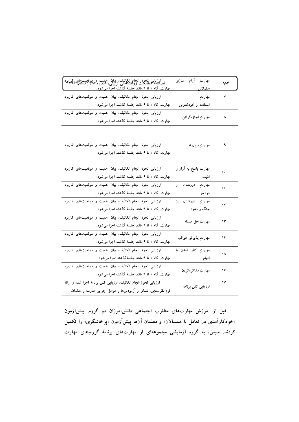| ارزیابی نجوهٔ انجام تکالیف. بیان اهمیت و پهوقعیتهای کالمهدد )<br>فصلناته مطالعات روانشناسی تربیتی، شماره ۲۸، زمستان کالمهدد )<br>مهارت گام ۱ تا ۹ مانند جلسهٔ گذشته احرا مرشود. | مهارتِ آرام سازی             | $\sqrt{2}$ |
|---------------------------------------------------------------------------------------------------------------------------------------------------------------------------------|------------------------------|------------|
| ارزیابی نحوهٔ انجام تکالیف، بیان اهمیت و موقعیتهای کاربرد                                                                                                                       | ۷ مهارتِ                     |            |
| مهارت، گام ۱ تا ۹ مانند جلسهٔ گذشته اجرا میشود.                                                                                                                                 | استفاده از خودکنترلی         |            |
| ارزیابی نحوهٔ انجام تکالیف، بیان اهمیت و موقعیتهای کاربرد<br>مهارت، گام ۱ تا ۹ مانند جلسهٔ گذشته اجرا میشود.                                                                    | ۸          مهارتِ اجازهگرفتن |            |

ارزیابی نحوهٔ انجام تکالیف، بیان اهمیت و موقعیتهای کاربرد ۹ مهارتِ قبول نه مهارت، گام ۱ تا ۹ مانند جلسهٔ گذشته اجرا میشود.

| مهارتِ پاسخ به آزار و | $\mathbf{\bar{}}$                                                                |
|-----------------------|----------------------------------------------------------------------------------|
| اذيت                  |                                                                                  |
| مهارتِ دورشدن از      | ۱۱                                                                               |
| دردسر                 |                                                                                  |
| مهارتِ دورشدن از      | ۱۲                                                                               |
| جنگ و دعوا            |                                                                                  |
|                       | ۱۳                                                                               |
|                       |                                                                                  |
|                       | ١۴                                                                               |
|                       |                                                                                  |
| مهارتِ کنار آمدن با   | ۱۵                                                                               |
| أتهام                 |                                                                                  |
|                       | ۱۶                                                                               |
|                       |                                                                                  |
|                       | ۱۷                                                                               |
|                       |                                                                                  |
|                       | مهارتِ حل مسئله<br>مهارتِ پذيرش عواقب<br>مهارتِ مذاكرهکردن<br>ارزیابی کلی برنامه |

قبل از آموزش مهارتهای مطلوب اجتماعی دانشآموزان دو گروه، پیشآزمون «خودکارآمدی در تعامل با همسالان» و معلمان آنها پیشآزمون «پرخاشگری» را تکمیل کردند. سپس، به گروه آزمایشی مجموعهای از مهارتهای برنامهٔ گروهبندی مهارت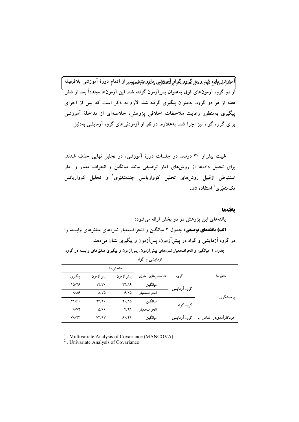.<br>آموافيژىقموژلىق پېمېرىۋە پچى گىللوم گېوام كېيىنكېرى دلخود<del>نى</del>نې<sub>ل</sub>ىمىدىپىن از اتىمام دورە آموزشى بلافلېمېلە .<br>از دو گروه آزمونهای فوق بهعنوان پسآزمون گرفته شد. این آزمونها مجدداً بعد از شش هفته از هر دو گروه، بهعنوان پیگیری گرفته شد. لازم به ذکر است که پس از اجرای پیگیری بهمنظور رعایت ملاحظات اخلاقی پژوهش، خلاصهای از مداخلهٔ آموزشی برای گروه گواه نیز اجرا شد. بهعلاوه، دو نفر از آزمودنی های گروه آزمایشی بهدلیل

غیبت بیشاز ۳۰ درصد در جلسات دورهٔ آموزشی، در تحلیل نهایی حذف شدند. برای تحلیل دادهها از روشهای آمار توصیفی مانند میانگین و انحراف معیار و آمار استنباطی ازقبیل روش۵مای تحلیل کوواریانس چندمتغیّری<sup>۱</sup> و تحلیل کوواریانس تکەمتغیّرى<sup>۲</sup> استفادە شد.

#### يافتهها

|                      |                   | سنجشءا                     |               |              |                       |
|----------------------|-------------------|----------------------------|---------------|--------------|-----------------------|
| پيگيري               | پسآزمون           | پیشآزمون                   | شاخصهای آماری | گروه         | متغيّر ها             |
| 10/48                | 17/V              | <b>74/19</b>               | ميانگين       | گروه آزمایشی |                       |
| $\lambda/\lambda$ ۶  | $\Lambda/V\Delta$ | 9/10                       | انحر اف معيار |              |                       |
| 71/9.                | $YY/\rightarrow$  | $Y \cdot / \Lambda \Delta$ | ميانگين       | گروه گواه    | يرخاشگري              |
| $\Lambda/\mathrm{V}$ | 9916              | $Y/Y\wedge$                | انحر اف معيار |              |                       |
| $V$ $V$ $Y$ $Y$      | Vf/Y              | 8.1                        | ميانگين       | گروه آزمایشی | خودکارآمدیدر تعامل با |

<sup>1</sup>. Multivariate Analysis of Covariance (MANCOVA)

<sup>2</sup>. Univariate Analysis of Covariance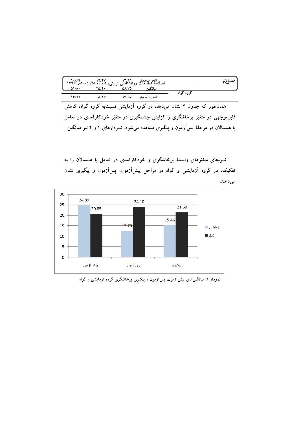| $1r\frac{1}{2}e^{3r\cdot r}$ |               |       | ۶۹ انحرافی معیار<br><u>فصلنامه مطالعات ووانشناسی ترمتی، شماره ۲۸، زمستان '</u> |           | همسالان |
|------------------------------|---------------|-------|--------------------------------------------------------------------------------|-----------|---------|
| ۸۱/۸۰                        | ۴۵/۴۰         | 56/75 | مىانگ                                                                          |           |         |
| ۱۳/۲۲                        | $\lambda$ /۲۶ | 13/57 | انحراف معيار                                                                   | گروه گواه |         |

همانطور که جدول ۲ نشان میدهد، در گروه آزمایشی نسبتبه گروه گواه، کاهش قابل توجهی در متغیّر پرخاشگری و افزایش چشمگیری در متغیّر خودکارآمدی در تعامل با همسالان در مرحلهٔ پسآزمون و پیگیری مشاهده میشود. نمودارهای ۱ و ۲ نیز میانگین

نمرههای متغیّرهای وابستهٔ پرخاشگری و خودکارآمدی در تعامل با همسالان را به تفکیک، در گروه آزمایشی و گواه در مراحل پیشآزمون، پسآزمون و پیگیری نشان مى دهند.



نمودار ۱. میانگینهای پیشآزمون، پسآزمون و پیگیری پرخاشگری گروه آزمایشی و گواه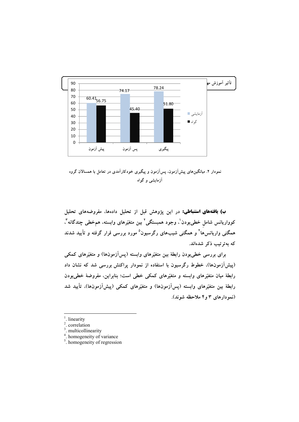

نمودار ۲. میانگینهای پیشآزمون، پسآزمون و پیگیری خودکارآمدی در تعامل با همسالان گروه آزمایشی و گواه

ب) یافتههای استنباطی: در این پژوهش قبل از تحلیل دادهها، مفروضههای تحلیل کوواریانس شامل خطیبودن ْ، وجود همبستگی ْ بین متغیّرهای وابسته، همخطی چندگانه ؓ، همگنی واریانسها<sup>۴</sup> و همگنی شیبهای رگرسیون<sup>۵</sup> مورد بررسی قرار گرفته و تأیید شدند كە بەترتيب ذكر شدەاند.

برای بررسی خطیبودن رابطهٔ بین متغیّرهای وابسته (پسآزمونها) و متغیّرهای کمکی (پیشآزمونها)، خطوط رگرسیون با استفاده از نمودار پراکنش بررسی شد که نشان داد رابطهٔ میان متغیّرهای وابسته و متغیّرهای کمکی خطی است؛ بنابراین، مفروضهٔ خطیبودن رابطهٔ بین متغیّرهای وابسته (پسآزمونها) و متغیّرهای کمکی (پیشآزمونها)، تأیید شد (نمودارهای ۳ و۴ ملاحظه شوند).

linearity

<sup>.</sup> correlation

<sup>&</sup>lt;sup>3</sup>. multicollinearity

<sup>&</sup>lt;sup>4</sup>. homogeneity of variance

 $\frac{1}{2}$ . homogeneity of regression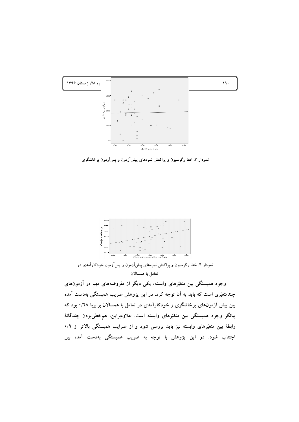

نمودار ۳ خط رگرسیون و پراکنش نمرههای پیشآزمون و پسآزمون پرخاشگری



نمودار ۴. خط رگرسیون و پراکنش نمرههای پیشآزمون و پسآزمون خودکارآمدی در تعامل با همسالان

وجود همبستگی بین متغیّرهای وابسته، یکی دیگر از مفروضههای مهم در آزمونهای چندمتغیّری است که باید به آن توجه کرد. در این پژوهش ضریب همبستگ*ی* بهدست آمده بین پیش آزمونهای پرخاشگری و خودکارآمدی در تعامل با همسالان برابربا ۰/۲۸ بود که بیانگر وجود همبستگی بین متغیّرهای وابسته است. علاوهبراین، همخطیبودن چندگانهٔ رابطهٔ بین متغیّرهای وابسته نیز باید بررسی شود و از ضرایب همبستگی بالاتر از ۰/۹ اجتناب شود. در این پژوهش با توجه به ضریب همبستگی بهدست آمده بین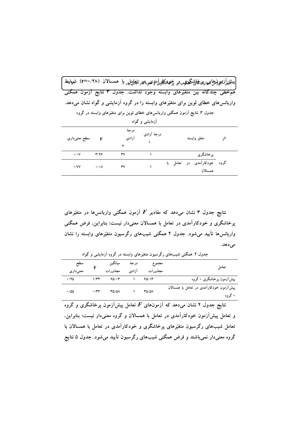|                 |                        | پىت <del>ا</del> ئىيۇزىمىرلىنىۋاغىھارپىزىنىماي <sup>ى</sup> نگىلىرىبەبر پ <sup>ن</sup> وپىرىنكارلىرىمىرىرىتىرىنىلىرىل ھەسىالان (٢٨/ ٢=٢) شهرەلىط |                        |                                        |     |
|-----------------|------------------------|--------------------------------------------------------------------------------------------------------------------------------------------------|------------------------|----------------------------------------|-----|
|                 |                        | <mark>هم خطی چندگانه بین متغیّرهای وابسته وجود نداشت. جدول ۳ نتایج آزمون همگنی</mark>                                                            |                        |                                        |     |
|                 |                        | واریانس های خطای لوین برای متغیّرهای وابسته را در گروه آزمایشی و گواه نشان میدهد.                                                                |                        |                                        |     |
|                 |                        | جدول ۳. نتایج آزمون همگنی واریانسهای خطای لوین برای متغیّرهای وابسته در گروه                                                                     |                        |                                        |     |
|                 |                        |                                                                                                                                                  | آزمایش <i>ی</i> و گواه |                                        |     |
| F سطح معنیداری  |                        | درجة<br>آزادی                                                                                                                                    | درجهٔ اَزادی           | متغيّر وابسته                          | اثر |
| $\cdot/\cdot$ Y | T/Y                    | ٣٧                                                                                                                                               |                        | پرخاشگري                               |     |
| $\cdot$ /VV     | $\cdot / \cdot \wedge$ | $\mathsf{r}\mathsf{v}$                                                                                                                           |                        | گروه خودکارآمدی در تعامل با<br>همسالان |     |

نتایج جدول ۳ نشان میدهد که مقادیر  $F$  آزمون همگنی واریانس۱ها در متغیّرهای پرخاشگری و خودکارآمدی در تعامل با همسالان معنیدار نیست؛ بنابراین، فرض همگنی واریانسها تأیید می شود. جدول ۴ همگنی شیبهای رگرسیون متغیّرهای وابسته را نشان مى دهد.

| تعامل                                             | مجموع<br>مجذورات | درجة<br>آزادى | ميانگين<br>مجذورات | F           | سطح<br>معنیداری |
|---------------------------------------------------|------------------|---------------|--------------------|-------------|-----------------|
| پیشآزمون پرخاشگری × گروه                          | 60.7             |               | 60.7               | 1/Tf        | .780            |
| پیشآزمون خودکارآمدی در تعامل با همسالان<br>× گروه | 30/08            |               | <b>TO/OA</b>       | $\cdot$ /۳۴ | $\cdot$ /00     |

.<br>جدول ۴. همگنی شیبهای رگرسیون متغیّرهای وابسته در گروه اَزمایشی و گواه

نتایج جدول ۴ نشان میدهد که آزمونهای  $F$  تعامل پیشآزمون پرخاشگری و گروه و تعامل پیشآزمون خودکارآمدی در تعامل با همسالان و گروه معنیدار نیست؛ بنابراین. تعامل شیبهای رگرسیون متغیّرهای پرخاشگری و خودکارآمدی در تعامل با همسالان با گروه معنیدار نمیباشند و فرض همگنی شیبهای رگرسیون تأیید میشود. جدول ۵ نتایج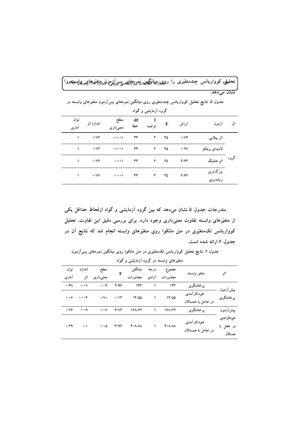.<br>تحلیله<sub>ا</sub> کوواریانس چندمتغیّری را رو<u>ی، بهانگیان،ن</u>مووژگیمیسیِسیآینیژیونیمیتغیّرمها<sub>گ</sub>یسیراپستهم را نشان مي دهد.

|      |                     |                          |             | نروه <sub>'</sub> رمایسی و نواه |           |                                 |                         |               |
|------|---------------------|--------------------------|-------------|---------------------------------|-----------|---------------------------------|-------------------------|---------------|
| اثر  | آزمون               | ارزش                     | $\mathbf F$ | f<br>فرضيه                      | df<br>خطا | سطح<br>معنىدارى                 | اندازهٔ اثر             | توان<br>أماري |
|      | اثر پیلایی          | $\cdot$ / $\vee$ $\cdot$ | ۴۵          | ۲                               | ٣۴        | $\rightarrow$ / $\rightarrow$ \ | $\cdot$ / $\vee$        |               |
|      | لامبداى ويلكز       | $\cdot$ /۲۷              | ۴۵          | ۲                               | ٣۴        | $\rightarrow$ / $\rightarrow$ \ | $\cdot$ / $\vee$ $\vee$ |               |
| گروه | اثر هتلينگ          | Y/FY                     | ۴۵          | ۲                               | ٣۴        | $\rightarrow$ / $\rightarrow$ \ | $\cdot$ / $\vee$ $\vee$ |               |
|      | بزرگترين<br>ریشەروی | Y/FY                     | ۴۵          | ۲                               | ٣۴        | $\rightarrow$ / $\rightarrow$ \ | $\cdot$ / $\vee$        | ١             |

جدول ۵. نتایج تحلیل کوواریانس چندمتغیّری روی میانگین نمرههای پسآزمون متغیّرهای وابسته در مح مو آزمانش و گواه

مندرجات جدول ۵ نشان میدهد که بین گروه آزمایشی و گواه ازلحاظ حداقل یکی از متغیّرهای وابسته تفاوت معنیداری وجود دارد. برای بررسی دقیق این تفاوت، تحلیل کوواریانس تکمتغیّری در متن مانکوا روی متغیّرهای وابسته انجام شد که نتایج آن در جدول ۶ ارائه شده است.

جدول ۶ نتایج تحلیل کوواریانس تکمتغیّری در متن مانکوا روی میانگین نمرههای پسآزمون

|  |  |  |  | متغیّرهای وابسته در گروه آزمایشی و گواه |
|--|--|--|--|-----------------------------------------|
|--|--|--|--|-----------------------------------------|

| توان<br>أماري       | اندازة<br>اثر        | سطح<br>معنىدارى         | F                       | ميانگين<br>مجذورات                  | درجة<br>آزادى | مجموع<br>مجذورات                 | متغيّر وابسته                      | اثر                                  |  |
|---------------------|----------------------|-------------------------|-------------------------|-------------------------------------|---------------|----------------------------------|------------------------------------|--------------------------------------|--|
| $\cdot$ /۳۸         | $\cdot$ / $\cdot$ V  | $\cdot$ / $\cdot$ 9     | Y/99                    | ۱۳۴                                 |               | ۱۳۴                              | پرخاشگري                           | پیش آزمون                            |  |
| $\cdot$ / $\cdot$ ۶ | $\cdot/\cdot\cdot f$ | $\cdot/\mathsf{V}\cdot$ | $\cdot$ /14             | 14/00                               |               | 14/00                            | خودکار آمدی<br>در تعامل با همسالان | پرخاشگري                             |  |
| ۰٬۴۶                | $\cdot$ / $\cdot$ 9  | $\cdot$ / $\cdot$ 6     | Y/YY                    | 168197                              |               | 188187                           | يرخاشگري                           | پیش آزمون                            |  |
| $\cdot$ /۴۹         | $\cdot/1$            | $\cdot/\cdot$ $\circ$   | $\mathbf{r}/\mathbf{q}$ | $Y \cdot \Lambda / \Lambda \Lambda$ |               | $f \cdot \Lambda/\Lambda\Lambda$ | خودکار آمدی<br>در تعامل با همسالان | خودكارامدى<br>در تعامل با<br>همسالان |  |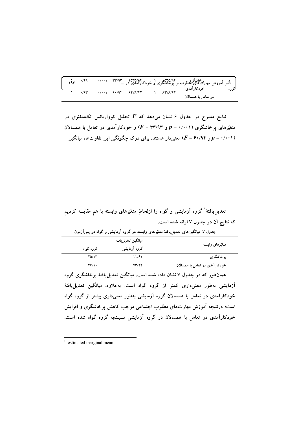|  | ۰/۴۹ |  |  |          | تأثیر آموز <u>ش مهار<sup>ی</sup>ت های گوالوب بر برخاشگری و خودکارامدی در </u><br>  تأثیر آموز <u>ش مهار<sup>ی</sup>ت های مطالوب بر برخاشگری و خودکارامدی در </u> |  |
|--|------|--|--|----------|------------------------------------------------------------------------------------------------------------------------------------------------------------------|--|
|  |      |  |  |          | خه دکار آمدی                                                                                                                                                     |  |
|  | .794 |  |  | 62788147 |                                                                                                                                                                  |  |
|  |      |  |  |          | در تعامل با همسالان                                                                                                                                              |  |

نتایج مندرج در جدول ۶ نشان میدهد که  $F$  تحلیل کوواریانس تک $\tilde{\mathbf{x}}$  نتایج متغیّرهای پرخاشگری (۰/۰۰۱ = p و ۳۳/۹۳ = F) و خودکارآمدی در تعامل با همسالان و ۴۰/۹۴ هـ) (۲۰۰۱) معنیدار هستند. برای درک چگونگی این تفاوتها، میانگین (F = ۶۰/۹۴

تعدیل یافتهٔ گروه آزمایشی و گواه را ازلحاظ متغیّرهای وابسته با هم مقایسه کردیم که نتایج آن در جدول ۷ ارائه شده است.

| جدول ۷. میانگینهای تعدیل یافتهٔ متغیّرهای وابسته در گروه آزمایشی و گواه در پسآزمون |                    |           |                  |  |  |  |
|------------------------------------------------------------------------------------|--------------------|-----------|------------------|--|--|--|
|                                                                                    | ميانگين تعديليافته |           | متغیّرهای وابسته |  |  |  |
|                                                                                    | گروه آزمایشی       | گروه گواه |                  |  |  |  |
| يرخاشگرى<br>11/۶1                                                                  |                    | 70/13     |                  |  |  |  |
| خودکارآمدی در تعامل با همسالان<br>VT/77                                            |                    | ۴۶/۱۰     |                  |  |  |  |

همانطور که در جدول ۷ نشان داده شده است، میانگین تعدیل یافتهٔ پرخاشگری گروه آزمایشی بهطور معنیداری کمتر از گروه گواه است. بهعلاوه، میانگین تعدیل،یافتهٔ خودکارآمدی در تعامل با همسالان گروه آزمایشی بهطور معنیداری بیشتر از گروه گواه

است؛ درنتیجه آموزش مهارتهای مطلوب اجتماعی موجب کاهش پرخاشگری و افزایش خودکارآمدی در تعامل با همسالان در گروه آزمایشی نسبتبه گروه گواه شده است.

<sup>&</sup>lt;sup>1</sup>. estimated marginal mean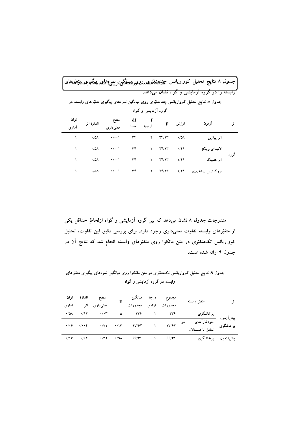|                |                     |                    |           |                     |       |                     | جدولم، ۸ نتایج تحلیل کوواریانس چیندیه <del>تیم</del> نیکاموری <sub>وا</sub> میلینگیپن.رنییموبهای پیگبر <i>ی ب</i> یهنوهای                     |      |
|----------------|---------------------|--------------------|-----------|---------------------|-------|---------------------|-----------------------------------------------------------------------------------------------------------------------------------------------|------|
|                |                     |                    |           |                     |       |                     | <u>وابسته را در گروه آزمایشی و گواه نشان میدهد.</u><br>جدول ۸ نتایج تحلیل کوواریانس چندمتغیّری روی میانگین نمرههای پیگیری متغیّرهای وابسته در |      |
|                |                     |                    |           | گروه آزمایشی و گواه |       |                     |                                                                                                                                               |      |
| تو ان<br>أماري | اندازهٔ اثر         | سطح<br>معنىدارى    | df<br>خطا | فر ضيه              | F     | ارزش                | از مو ن                                                                                                                                       | اثر  |
|                | $\cdot$ /0 $\wedge$ | $\cdot$ / $\cdot$  | ٣۴        | ۲                   | YY/Y  | $\cdot$ /0 $\wedge$ | اثر پیلایی                                                                                                                                    |      |
|                | $\cdot$ /0 $\wedge$ | $\cdot$ / $\cdot$  | ٣۴        | ۲                   | YY/Y  | $\cdot$ /۴۱         | لامبداي ويلكز                                                                                                                                 |      |
|                | $\cdot$ /0 $\wedge$ | $\cdot$ / $\cdot$  | ٣۴        | ۲                   | 74/13 | 1/f1                | اثر هتلینگ                                                                                                                                    | گروه |
|                | $\cdot$ /0 $\wedge$ | $\cdot/\cdot\cdot$ | ٣۴        | ۲                   | YY/Y  | 1/f1                | بزرگترین ریشهروی                                                                                                                              |      |

مندرجات جدول ۸ نشان میدهد که بین گروه آزمایشی و گواه ازلحاظِ حداقل یکی از متغیّرهای وابسته تفاوت معنیداری وجود دارد. برای بررسی دقیق این تفاوت، تحلیل کوواریانس تکمتغیّری در متن مانکوا روی متغیّرهای وابسته انجام شد که نتایج آن در جدول ۹ ارائه شده است.

جدول ۹. نتایج تحلیل کوواریانس تکمتغیّری در متن مانکوا روی میانگین نمرههای پیگیری متغیّرهای وابسته در گروه آزمایشی و گواه

| اثر | متغيّر وابسته                                          |    |                        |               | مجموع درجهٔ میانگین<br>مجذورات آزادی مجذورات | سطح اندازة<br>معنیداری اثر |                                                  | توان<br>آماري |
|-----|--------------------------------------------------------|----|------------------------|---------------|----------------------------------------------|----------------------------|--------------------------------------------------|---------------|
|     |                                                        |    |                        |               | $\omega$ and $\tau \tau \gamma$              | $\cdot/\cdot \tau$         | $\cdot$ /01 $\cdot$ /17                          |               |
|     | پرخاشگری<br>پیشآزمون خودکارآمدی<br>پرخاشگری خودکارآمدی | در | 17/97                  | $\mathcal{N}$ | $\cdot$ /V1 $\cdot$ /1۳ $1$ V/ $\cdot$ 7     |                            | $\cdot/\cdot$ $\cdot$ $\cdot/\cdot\cdot$ $\cdot$ |               |
|     | پیشآزمون پرخاشگری                                      |    | $\gamma$ $\frac{6}{7}$ |               | ۶۶/۳۱                                        | $\cdot$ /۳۲ $\cdot$ /91    | $\cdot$ /16 $\cdot$ / $\cdot$ 1                  |               |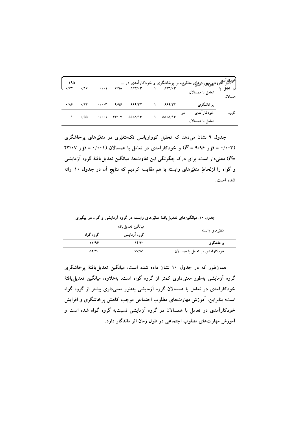| ۱۹۵<br>$\cdot$ / $\vee$ $\cdot$ | .19         | $\cdot$ / $\cdot$    | $9/9\lambda$ | $\Lambda$ 9٣/٠٣ |  | $\Lambda$ 9٣/٠٣ |    | اخودکارآمدی زش <sub>خونگ</sub> هارتهی ها مطلوب بر پرخاشگری و خودکارآمدی در<br>استانش ا <sup>مو</sup> زشخونگارتهی با مطلوب | تعامل ما |
|---------------------------------|-------------|----------------------|--------------|-----------------|--|-----------------|----|---------------------------------------------------------------------------------------------------------------------------|----------|
|                                 |             |                      |              |                 |  |                 |    | تعامل با همسالان                                                                                                          | همسالان  |
| $\cdot$ / $\lambda$ ۶           | $\cdot$ /۲۲ | $\cdot/\cdot\cdot$ ۳ | 9/99         | 559/77          |  | 999/77          |    | پرخاشگري                                                                                                                  |          |
|                                 | $\cdot$ 100 | $\cdot$ / $\cdot$    | $Y' \cdot V$ | 00.117          |  | 00.117          | در | خو دکار آمدي                                                                                                              | گروه     |
|                                 |             |                      |              |                 |  |                 |    | تعامل با همسالان                                                                                                          |          |

جدول ۹ نشان میدهد که تحلیل کوواریانس تکمتغیّری در متغیّرهای پرخاشگری ۴۳/۰۰۳ و ۹/۹۶ =  $P$ ) و خودکارآمدی در تعامل با همسالان (۰۰۰۱۰ =  $p$ و ۲۴/۰۰۷ معنیدار است. برای درک چگونگی این تفاوتها، میانگین تعدیل یافتهٔ گروه آزمایشی ( $F$ = و گواه را ازلحاظِ متغیّرهای وابسته با هم مقایسه کردیم که نتایج آن در جدول ۱۰ ارائه شده است.

جدول ۱۰. میانگینهای تعدیل۱یافتهٔ متغیّرهای وابسته در گروه آزمایشی و گواه در پیگیری<br>میانگیز. تعدیل یافته

| متغیّرهای وابسته               | گروه آزمایشی | گروه گواه    |  |  |  |
|--------------------------------|--------------|--------------|--|--|--|
| پرخاشگري                       | ۱۴/۳۰        | 27/98        |  |  |  |
| خودکارآمدی در تعامل با همسالان | <b>VV/A1</b> | $\Delta Y/Y$ |  |  |  |

همانطور که در جدول ۱۰ نشان داده شده است، میانگین تعدیل یافتهٔ پرخاشگری گروه آزمایشی بهطور معنیداری کمتر از گروه گواه است. بهعلاوه، میانگین تعدیل یافتهٔ خودکارآمدی در تعامل با همسالان گروه آزمایشی بهطور معنیداری بیشتر از گروه گواه است؛ بنابراین، آموزش مهارتهای مطلوب اجتماعی موجب کاهش پرخاشگری و افزایش خودکارآمدی در تعامل با همسالان در گروه آزمایشی نسبتبه گروه گواه شده است و آموزش مهارتهای مطلوب اجتماعی در طول زمان اثر ماندگار دارد.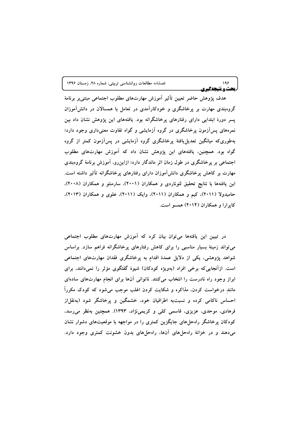|  |  |  |  |  | فصلنامه مطالعات روانشناسی تربیتی، شماره ۲۸، زمستان ۱۳۹۶ |  |  |
|--|--|--|--|--|---------------------------------------------------------|--|--|
|--|--|--|--|--|---------------------------------------------------------|--|--|

هدف يژوهش حاضر تعيين تأثير آموزش مهارتهاي مطلوب اجتماعي مبتنىبر برنامهٔ گروهبندی مهارت بر پرخاشگری و خودکارآمدی در تعامل با همسالان در دانشآموزان یسر دورهٔ ابتدایی دارای رفتارهای پرخاشگرانه بود. یافتههای این پژوهش نشان داد بین نمرههای پسآزمون پرخاشگری در گروه آزمایشی و گواه تفاوت معنیداری وجود دارد؛ بهطوریکه میانگین تعدیل،یافتهٔ پرخاشگری گروه آزمایشی در پسآزمون کمتر از گروه گواه بود. همچنین، یافتههای این پژوهش نشان داد که آموزش مهارتهای مطلوب اجتماعی بر پرخاشگری در طول زمان اثر ماندگار دارد؛ ازاین٫و، آموزش برنامهٔ گروهبندی مهارت بر کاهش برخاشگری دانش[موزان دارای رفتارهای پرخاشگرانه تأثیر داشته است. این یافتهها با نتایج تحقیق لئوناردی و همکاران (۲۰۰۱)، سارمنتو و همکاران (۲۰۰۸)، حامیدولا (۲۰۱۱)، کیم و همکاران (۲۰۱۱)، وایک (۲۰۱۱)، علوی و همکاران (۲۰۱۳)، کاپرارا و همکاران (۲۰۱۴) همسو است.

 $199$ 

يحث ونتيجهكيري

در تبیین این یافتهها می توان بیان کرد که آموزش مهارتهای مطلوب اجتماعی می تواند زمینهٔ بسیار مناسبی را برای کاهش رفتارهای پرخاشگرانه فراهم سازد. براساس شواهد پژوهشی، یکی از دلایل عمدهٔ اقدام به پرخاشگری فقدان مهارتهای اجتماعی است. ازآنجایی که برخی افراد (بهویژه کودکان) شیوهٔ گفتگوی مؤثر را نمیدانند، برای ابراز وجود راه نادرست را انتخاب می کنند. ناتوانی آنها برای انجام مهارتهای سادهای مانند درخواست کردن. مذاکره و شکایت کردن اغلب موجب میشود که کودک مکرراً احساس ناکامی کرده و نسبتبه اطرافیان خود، خشمگین و پرخاشگر شود (بهنقل|ز فرهادی، موحدی، عزیزی، قاسمی کلی و کریمینژاد، ۱۳۹۳). همچنین بهنظر میرسد، کودکان پرخاشگر راهحلهای جایگزین کمتری را در مواجهه با موقعیتهای دشوار نشان میدهند و در خزانهٔ راهحلهای آنها، راهحلهای بدون خشونت کمتری وجود دارد.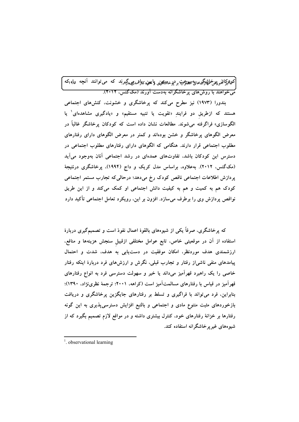.<br>کع<sub>ق</sub>ترکاټنو پیزخل<del>فناکری</del>های<sup>پو</sup> مطلیحت و درخا<del>من</del>ګټن پایعن <sub>ک</sub>لإقهدمی گیرند که می توانند آنچه ۱۹<sub>۵</sub>که می خواهند با روش های برخاشگرانه بهدست آورند (مککنس) ۲۰۱۲).

بندورا (۱۹۷۳) نیز مطرح میکند که پرخاشگری و خشونت، کنشهای اجتماعی هستند که ازطریق دو فرایندِ «تقویت یا تنبیه مستقیم» و «یادگیری مشاهدهای<sup>۱</sup> یا الگوسازی» فراگرفته می شوند. مطالعات نشان داده است که کودکان پرخاشگر غالباً در معرض الگوهای پرخاشگر و خشن بودهاند و کمتر در معرض الگوهای دارای رفتارهای مطلوب اجتماعی قرار دارند. هنگامی که الگوهای دارای رفتارهای مطلوب اجتماعی در دسترس این کودکان باشد، تفاوتهای عمدهای در رشد اجتماعی آنان بهوجود می آید (مکگنس، ۲۰۱۲). بهعلاوه، براساس مدل کریک و داج (۱۹۹۴)، پرخاشگری درنتیجهٔ پردازش اطلاعات اجتماعی ناقص کودک رخ میدهد؛ درحالی که تجارب مستمر اجتماعی کودک هم به کمیت و هم به کیفیت دانش اجتماعی او کمک میکند و از این طریق نواقص پردازش وی را برطرف میسازد. افزون بر این، رویکرد تعامل اجتماعی تأکید دارد

که پرخاشگری، صرفاً یکی از شیوههای بالقوهٔ اعمال نفوذ است و تصمیمگیری دربارهٔ استفاده از آن در موقعیتی خاص، تابع عوامل مختلفی ازقبیل سنجش هزینهها و منافع، ارزشمندی هدف موردنظر، امکان موفقیت در دستپایی به هدف، شدت و احتمال پیامدهای منفی ناشی|ز رفتار و تجارب قبلی، نگرش و ارزشهای فرد دربارهٔ اینکه رفتار خاصی را یک راهبرد قهرآمیز میداند یا خیر و سهولت دسترسی فرد به انواع رفتارهای قهرآمیز در قیاس با رفتارهای مسالمتآمیز است (کراهه، ۲۰۰۱؛ ترجمهٔ نظرینژاد، ۱۳۹۰)؛ بنابراین، فرد می تواند با فراگیری و تسلط بر رفتارهای جایگزین پرخاشگری و دریافت بازخوردهای مثبت متنوع مادی و اجتماعی و بالتبع افزایش دسترسیپذیری به این گونه رفتارها بر خزانهٔ رفتارهای خود، کنترل بیشتری داشته و در مواقع لازم تصمیم بگیرد که از شیو ههای غیر پر خاشگرانه استفاده کند.

 $\frac{1}{2}$  observational learning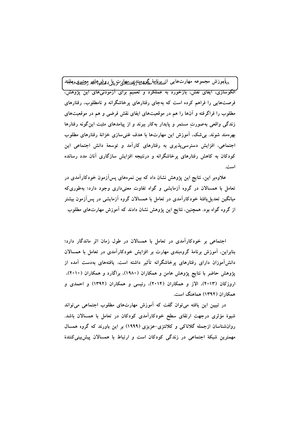<sub>٨</sub>٨]موزش مجموعه مهارتهايي از<sub>فط</sub>ي<sub>ل</sub>ايهة مگلاه ديند <sub>ك</sub>يشهيلرت يبل روش هاي ومسير ي ملنهد **الگوسازی، ایفای نقش، بازخورد به عملکرد و تعمیم برای آزمودنیهای این پژوهش،** فرصتهایی را فراهم کرده است که بهجای رفتارهای پرخاشگرانه و نامطلوب، رفتارهای مطلوب را فراگرفته و آنها را هم در موقعیتهای ایفای نقش فرضی و هم در موقعیتهای زندگی واقعی بهصورت مستمر و پایدار بهکار ببرند و از پیامدهای مثبت این گونه رفتارها بھرەمند شوند. بے شک، آموزش این مھارتھا با ھدف غنی سازی خزانۂ رفتارہای مطلوب اجتماعی، افزایش دسترسی،پذیری به رفتارهای کارآمد و توسعهٔ دانش اجتماعی این کودکان به کاهش رفتارهای پرخاشگرانه و درنتیجه افزایش سازگاری آنان مدد رسانده است.

علاوهبر این، نتایج این پژوهش نشان داد که بین نمرههای پسآزمون خودکارآمدی در تعامل با همسالان در گروه آزمایشی و گواه تفاوت معنیداری وجود دارد؛ بهطوری که میانگین تعدیل یافتهٔ خودکارآمدی در تعامل با همسالان گروه آزمایشی در پسآزمون بیشتر از گروه گواه بود. همچنین، نتایج این پژوهش نشان دادند که آموزش مهارتهای مطلوب

اجتماعی بر خودکارآمدی در تعامل با همسالان در طول زمان اثر ماندگار دارد؛ بنابراین، آموزش برنامهٔ گروهبندی مهارت بر افزایش خودکارآمدی در تعامل با همسالان دانشآموزان دارای رفتارهای پرخاشگرانه تأثیر داشته است. یافتههای بهدست آمده از پژوهش حاضر با نتایج پژوهش هامن و همکاران (۱۹۸۰)، براگارد و همکاران (۲۰۱۰)، اروزکان (۲۰۱۳)، الاز و همکاران (۲۰۱۴)، رئیسی و همکاران (۱۳۹۲) و احمدی و همکاران (۱۳۹۲) هماهنگ است.

در تبیین این یافته می توان گفت که آموزش مهارتهای مطلوب اجتماعی می تواند شیوهٔ مؤثری درجهت ارتقای سطح خودکارآمدی کودکان در تعامل با همسالان باشد. روانشناسان ازجمله گلاناکی و کلانتزی-عزیزی (۱۹۹۹) بر این باورند که گروه همسال مهمترین شبکهٔ اجتماعی در زندگی کودکان است و ارتباط با همسالان پیش بینی کنندهٔ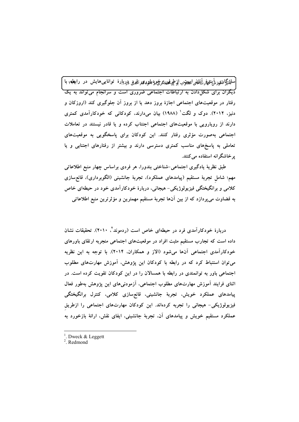سلزنگراری ئی نیلیه گی آنللله است. از طرفح نیمه خود بلوری آفری<sub>، د</sub>ربارهٔ توانایی هایش در رابطه با .<br>دیگران برای شکلدادن به ارتباطات اجتماعی ضروری است و سرانجام می تواند به یک رفتار در موقعیتهای اجتماعی اجازهٔ بروز دهد یا از بروز آن جلوگیری کند (اروزکان و دنیز، ۲۰۱۲). دوک و لگت<sup>۱</sup> (۱۹۸۸) بیان میدارند، کودکانی که خودکارآمدی کمتری دارند از رویارویی با موقعیتهای اجتماعی اجتناب کرده و یا قادر نیستند در تعاملات اجتماعی بهصورت مؤثری رفتار کنند. این کودکان برای پاسخگویی به موقعیتهای تعاملی به پاسخهای مناسب کمتری دسترسی دارند و بیشتر از رفتارهای اجتنابی و یا یر خاشگر انه استفاده می کنند.

طبق نظریهٔ یادگیری اجتماعی-شناختی بندورا، هر فردی براساس چهار منبع اطلاعاتی مهم؛ شامل تجربهٔ مستقیم (پیامدهای عملکرد). تجربهٔ جانشینی (الگوبرداری). قانع،سازی کلامی و برانگیختگی فیزیولوژیکی- هیجانی، دربارهٔ خودکارآمدی خود در حیطهای خاص به قضاوت می پردازد که از بین آنها تجربهٔ مستقیم مهمترین و مؤثرترین منبع اطلاعاتی

دربارهٔ خودکارآمدی فرد در حیطهای خاص است (ردموند<sup>۲</sup>، ۲۰۱۰). تحقیقات نشان داده است که تجارب مستقیم مثبت افراد در موقعیتهای اجتماعی منجربه ارتقای باورهای خودکارآمدی اجتماعی آنها میشود (الاز و همکاران، ۲۰۱۴). با توجه به این نظریه می توان استنباط کرد که در رابطه با کودکان این پژوهش، آموزش مهارتهای مطلوب اجتماعی باور به توانمندی در رابطه با همسالان را در این کودکان تقویت کرده است. در اثنای فرایند آموزش مهارتهای مطلوب اجتماعی، آزمودنیهای این پژوهش بهطور فعال پیامدهای عملکرد خویش، تجربهٔ جانشینی، قانع٬سازی کلامی، کنترل برانگیختگی فیزیولوژیکی- هیجانی را تجربه کردهاند. این کودکان مهارتهای اجتماعی را ازطریق عملکرد مستقیم خویش و پیامدهای آن، تجربهٔ جانشینی، ایفای نقش، ارائهٔ بازخورد به

<sup>1</sup>. Dweck & Leggett

 $2$  Redmond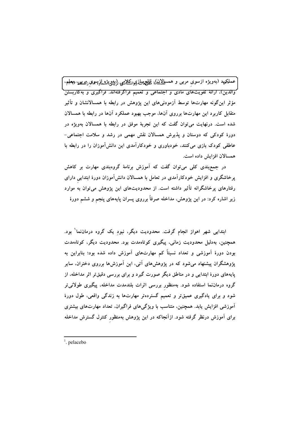عملکمپد (بەويژە ازسوی مربى و همس<u>الدىنا)،</u> قىلغچەلىزى،انگىلامىي زېييىچىبژىيلىزى*سمەن ژەيىلىن، ئې*ملم، 'والدین)، ارائهٔ تقویتهای مادی و اجتماعی و تعمیم فراگرفتهاند. فراگیری و بهکاربستن مؤثر اینگونه مهارتها توسط آزمودنیهای این پژوهش در رابطه با همسالانشان و تأثیر متقابل کاربرد این مهارتها برروی آنها، موجب بهبود عملکرد آنها در رابطه با همسالان شده است. درنهایت می توان گفت که این تجربهٔ موفق در رابطه با همسالان بهویژه در دورهٔ کودکی که دوستان و پذیرش همسالان نقش مهمی در رشد و سلامت اجتماعی-عاطفی کودک بازی میکنند، خودباوری و خودکارآمدی این دانشآموزان را در رابطه با همسالان افزایش داده است.

در جمع بندی کلی می توان گفت که آموزش برنامهٔ گروهبندی مهارت بر کاهش پرخاشگری و افزایش خودکارآمدی در تعامل با همسالان دانشآموزان دورهٔ ابتداییِ دارای رفتارهای پرخاشگرانه تأثیر داشته است. از محدودیتهای این پژوهش میتوان به موارد زیر اشاره کرد: در این پژوهش، مداخله صرفاً برروی پسران پایههای پنجم و ششم دورهٔ

ابتدایی شهر اهواز انجام گرفت. محدودیت دیگر، نبود یک گروه درماننما<sup>\</sup> بود. همچنین، بهدلیل محدودیت زمانی، پیگیری کوتاهمدت بود. محدودیت دیگر، کوتاهمدت بودن دورهٔ آموزشی و تعداد نسبتاً کم مهارتهای آموزش داده شده بود؛ بنابراین به پژوهشگران پیشنهاد میشود که در پژوهشهای آتی، این آموزشها برروی دختران، سایر پایههای دورهٔ ابتدایی و در مناطق دیگر صورت گیرد و برای بررسی دقیقتر اثر مداخله، از گروه درماننما استفاده شود. بهمنظور بررسی اثرات بلندمدت مداخله، پیگیری طولانیتر شود و برای یادگیری عمیقتر و تعمیم گستردهتر مهارتها به زندگی واقعی، طول دورهٔ آموزشی افزایش یابد. همچنین، متناسب با ویژگیهای فراگیران، تعداد مهارتهای بیشتری برای آموزش درنظر گرفته شود. ازآنجاکه در این پژوهش بهمنظور کنترل گسترش مداخله

 $1$  pelacebo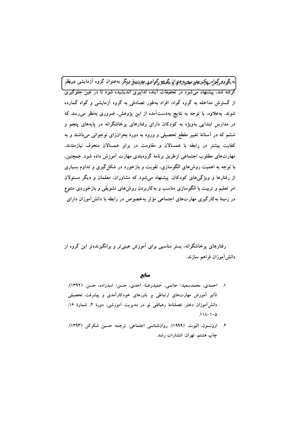.<br>به <sub>ت</sub>آگیر*و5م*وگوراه مهلکت میلمین سمیرایوبچنبو اپن گیری گوگورامیوه میارتریبیهی دیگر به عنوان گروه آزمایشی در نظر .<br>گرفته شد، پیشنهاد می شود در تحقیقات آینده تدابیری اندیشیده شود تا در عین جلوگیری از گسترش مداخله به گروه گواه، افراد بهطور تصادفی به گروه آزمایشی و گواه گمارده شوند. بهعلاوه، با توجه به نتایج بهدستآمده از این پژوهش، ضروری بهنظر میرسد که در مدارس ابتدایی بهویژه به کودکان دارای رفتارهای پرخاشگرانه در پایههای پنجم و ششم که در آستانهٔ تغییر مقطع تحصیلی و ورود به دورهٔ بحرانزای نوجوانی میباشند و به کفایت بیشتر در رابطه با همسالان و مقاومت در برابر همسالان منحرف نیازمندند، مهارتهای مطلوب اجتماعی ازطریق برنامهٔ گروهبندی مهارت آموزش داده شود. همچنین، با توجه به اهمیت روش۵ای الگوسازی، تقویت و بازخورد در شکل گیری و تداوم بسیاری از رفتارها و ویژگیهای کودکان، پیشنهاد میشود که مشاوران، معلمان و دیگر مسئولان امر تعلیم و تربیت با الگوسازی مناسب و بهکاربردن روش۵ای تشویقی و بازخوردی متنوع در زمینهٔ بهکارگیری مهارتهای اجتماعی مؤثر بهخصوص در رابطه با دانشآموزان دارای

رفتارهای پرخاشگرانه، بستر مناسبی برای آموزش عینیتر و برانگیزندهتر این گروه از دانش|موزان فراهم سازند.

منابع

- ١. احمدي، محمدسعيد؛ حاتمي، حميدرضا؛ احدي، حسن؛ اسدزاده، حسن. (١٣٩٢). تأثیر آموزش مهارتهای ارتباطی بر باورهای خودکارآمدی و پیشرفت تحصیلی دانشآموزان دختر. فصلنامهٔ رهیافتی نو در مدیریت آموزشی، دورهٔ ۴، شمارهٔ ۱۶،  $.111 - 10$
- ۲. ارونسون، اليوت. (۱۹۹۹). روانشناسی اجتماعی. ترجمه حسین شکرکن (۱۳۹۳). چاپ هشتم، تهران: انتشارات رشد.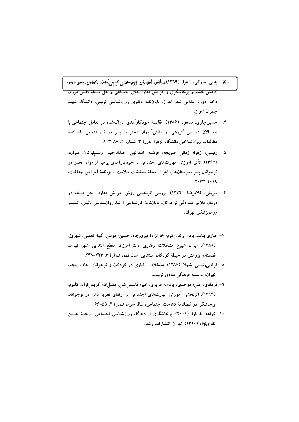## ۳٫۲ بنابی مبارکی، زهرا. (۱۳۸۹) نطالشه آیهانش شویوههای کنایتی آمدند و کلامبن سیجور ۱۳۹۶ .<br>کاهش خشم و پرخاشگری و افزایش مهارتهای اجتماعی و حل مسئلهٔ دانشآموزان دختر دورهٔ ابتدایی شهر اهواز. پایاننامهٔ دکتری روانشناسی تربیتی، دانشگاه شهید چمران اهواز.

- ۴. حسین چاری، مسعود. (۱۳۸۶). مقایسهٔ خودکارآمدی ادراکشده در تعامل اجتماعی با همسالان در بین گروهی از دانشآموزان دختر و پسر دورهٔ راهنمایی. فصلنامهٔ مطالعات روانشناختی دانشگاه الزهرا، دورهٔ ۳، شمارهٔ ۴، ۸۷–۱۰۳.
- ۵. رئيسي، زهرا؛ زماني علويجه، فرشته؛ اسدالهي، عبدالرحيم؛ رستمنياكان، شراره. (۱۳۹۲). تأثیر آموزش مهارتهای اجتماعی بر خودکارآمدی پرهیز از مواد مخدر در نوجوانان پسر دبیرستانهای اهواز. مجلهٔ تحقیقات سلامت، ویژەنامهٔ آموزش بهداشت،  $Y - Y - Y - 19$
- ۶. شریفی، غلامرضا. (۱۳۷۲). بررسی اثربخشی روش آموزش مهارت حل مسئله در درمان علائم افسردگی نوجوانان. پایاننامهٔ کارشناسی ارشد روانشناسی بالینی، انستیتو روان يزشكي تهران.
- ٧– غبارى بناب، باقر؛ پرند، اكرم؛ خانزادهٔ فيروزجاه، حسين؛ موللي، گيتا؛ نعمتي، شهروز. (١٣٨٨). ميزان شيوع مشكلات رفتاري دانش آموزان مقطع ابتدايي شهر تهران. فصلنامهٔ پژوهش در حیطهٔ کودکان استثنایی، سال نهم، شمارهٔ ۳، ۲۲۳–۲۳۸.
- ۸– فرقانی٫رئیسی، شهلا. (۱۳۸۷). مشکلات رفتاری در کودکان و نوجوانان. چاپ پنجم، تهران: موسسه فرهنگی منادی تربیت.
- ۹– فرهادی، علی؛ موحدی، یزدان؛ عزیزی، امیر؛ قاسمی کلی، فضل۱لهٔ؛ کریمینژاد، کلثوم. (۱۳۹۳). اثربخشی آموزش مهارتهای اجتماعی بر ارتقای نظریهٔ ذهن در نوجوانان يرخاشگر. دو فصلنامهٔ شناخت اجتماعي، سال سوم، شمارهٔ ۲، ۵۵-۶۶.
- ۱۰– کراهه، باربارا. (۲۰۰۱). پرخاشگری از دیدگاه روانشناسی اجتماعی. ترجمهٔ حسین نظری نژاد (۱۳۹۰). تهران: انتشارات رشد.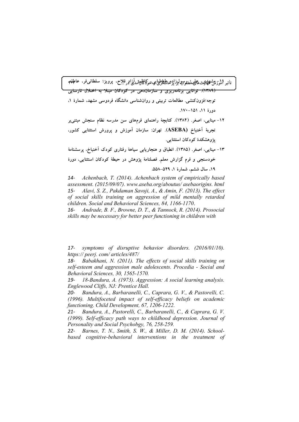تأثير اراق<del>. ئىشقىلە</del>ي على ئىلەپتولوزادە طىلىطاسىي ئىركا<u>خىئى آزاد</u>ر فلاح، پرويز؛ سلطانى فر، عاطفەر <del>(۱۳۸۹). توانایی برنامهریزی و سازماندهی در کودکان مبتلا به اختلال نارسایی</del> توجه/فزونکنشی. مطالعات تربیتی و روانشناسی دانشگاه فردوسی مشهد، شمارهٔ ۱، دورة ١١، ١٥١-١٧٠.

- ۱۲- مینایی، اصغر. (۱۳۸۴). کتابچهٔ راهنمای فرمهای سن مدرسه نظام سنجش مبتنیبر تجربهٔ آخنباخ (ASEBA). تهران: سازمان آموزش و پرورش استثنایی کشور، يژوهشكدهٔ كودكان استثنايي.
- ۱۳– مینایی، اصغر. (۱۳۸۵). انطباق و هنجاریابی سیاههٔ رفتاری کودک اَخنباخ، پرسشنامهٔ خودسنجی و فرم گزارش معلم. فصلنامهٔ پژوهش در حیطهٔ کودکان استثنایی، دورهٔ ١٩، سال ششم، شمارهٔ ١، ٥٢٩-٥٥٨.

Achenbach, T. (2014). Achenbach system of empirically based  $14$ assessment. (2015/09/07). www.aseba.org/aboutus/ asebaorigins. html Alavi, S. Z., Pakdaman Savoji, A., & Amin, F. (2013). The effect  $15$ of social skills training on aggression of mild mentally retarded children. Social and Behavioral Sciences, 84, 1166-1170.

16-Andrade, B. F., Browne, D. T., & Tannock, R. (2014). Prosocial skills may be necessary for better peer functioning in children with

 $17$ symptoms of disruptive behavior disorders. (2016/01/10). https:// peerj. com/ articles/487/

Babakhani, N. (2011). The effects of social skills training on 18self-esteem and aggression male adolescents. Procedia - Social and Behavioral Sciences, 30, 1565-1570.

18-Bandura, A. (1973). Aggression: A social learning analysis.  $19-$ Englewood Cliffs, NJ: Prentice Hall.

Bandura, A., Barbaranelli, C., Caprara, G. V., & Pastorelli, C.  $20 -$ (1996). Multifoceted impact of self-efficacy beliefs on academic functioning. Child Development, 67, 1206-1222.

21- Bandura, A., Pastorelli, C., Barbaranelli, C., & Caprara, G. V. (1999). Self-efficacy path ways to childhood depression. Journal of Personality and Social Psychobgy, 76, 258-259.

Barnes, T. N., Smith, S. W., & Miller, D. M. (2014). School- $22$ based cognitive-behavioral interventions in the treatment of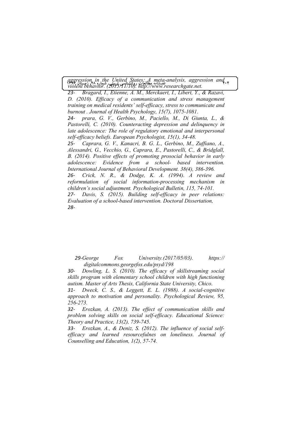**1396 (L5 28 .% #(8! #"G2+ 0\$F -***violent behavior. (2015/11/10). http://www.researchgate.net.*  **GE <sup>204</sup>** *aggression in the United States*: *<sup>A</sup> meta-analysis, aggression and* 

*23- Bragard, I., Etienne, A. M., Merckaert, I., Libert, Y., & Razavi, D. (2010). Efficacy of a communication and stress management training on medical residents' self-efficacy, stress to communicate and burnout . Journal of Health Psychology, 15(7), 1075-1081*.

*24- prara, G. V., Gerbino, M., Paciello, M., Di Giunta, L., & Pastorelli, C. (2010). Counteracting depression and delinquency in late adolescence: The role of regulatory emotional and interpersonal self-efficacy beliefs. European Psychologist, 15(1), 34-48.* 

*25- Caprara, G. V., Kanacri, B. G. L., Gerbino, M., Zuffiano, A., Alessandri, G., Vecchio, G., Caprara, E., Pastorelli, C., & Bridglall, B. (2014). Positive effects of promoting prosocial behavior in early adolescence: Evidence from a school- based intervention. International Journal of Behavioral Development. 38(4), 386-396.* 

*26- Crick, N. R., & Dodge, K. A. (1994). A review and reformulation of social information-processing mechanism in children's social adjustment. Psychological Bulletin, 115, 74-101.* 

*27- Davis, S. (2015). Building self-efficacy in peer relations: Evaluation of a school-based intervention. Doctoral Dissertation, 28-*

*29-George Fox University.(2017/05/03). https:// digitalcommons.georgefox.edu/psyd/198* 

*30- Dowling, L. S. (2010). The efficacy of skillstreaming social skills program with elementary school children with high functioning autism. Master of Arts Thesis, California State University, Chico*.

*31- Dweck, C. S., & Leggett, E. L. (1988). A social-cognitive approach to motivation and personality. Psychological Review, 95, 256-273.* 

*32- Erozkan, A. (2013). The effect of communication skills and problem solving skills on social self-efficacy. Educational Science: Theory and Practice, 13(2), 739-745.* 

*33- Erozkan, A., & Deniz, S. (2012). The influence of social selfefficacy and learned resourcefulnes on loneliness. Journal of Counselling and Education, 1(2), 57-74.*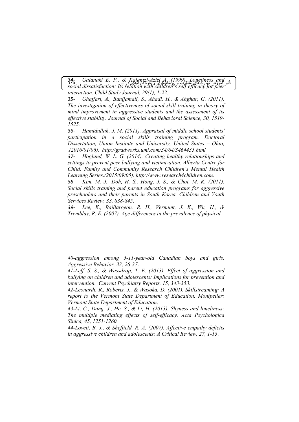**205 ... -B + )% \* ! DEF ,0** *social dissatisfaction: Its relation with children's self-efficacy for peer*  **@ A5B 89:**  *34- Galanaki E. P., & Kalantzi-Azizi A. (1999). Loneliness and* 

*interaction. Child Study Journal, 29(1), 1-22.* 

*35- Ghaffari, A., Banijamali, S., Ahadi, H., & Ahghar, G. (2011). The investigation of effectiveness of social skill training in theory of mind improvement in aggressive students and the assessment of its effective stability. Journal of Social and Behavioral Science, 30, 1519- 1525.*

*36- Hamidullah, J. M. (2011). Appraisal of middle school students' participation in a social skills training program. Doctoral Dissertation, Union Institute and University, United States – Ohio, .(2016/01/06). http://gradworks.umi.com/34/64/3464435.html* 

*37- Hoglund, W. L. G. (2014). Creating healthy relationships and settings to prevent peer bullying and victimization. Alberta Centre for Child, Family and Community Research Children's Mental Health Learning Series*.*(2015/09/05). http://www.research4children.com.* 

*38- Kim, M. J., Doh, H. S., Hong, J. S., & Choi, M. K. (2011). Social skills training and parent education programs for aggressive preschoolers and their parents in South Korea. Children and Youth Services Review, 33, 838-845*.

*39- Lee, K., Baillargeon, R. H., Vermunt, J. K., Wu, H.*, *& Tremblay, R. E. (2007). Age differences in the prevalence of physical* 

*40-aggression among 5-11-year-old Canadian boys and girls. Aggressive Behavior, 33, 26-37*.

*41-Leff, S. S., & Wassdrop, T. E. (2013). Effect of aggression and bullying on children and adolescents: Implications for prevention and intervention. Current Psychiatry Reports, 15, 343-353.*

*42-Leonardi, R., Roberts, J., & Wasoka, D. (2001). Skillstreaming: A report to the Vermont State Department of Education. Montpelier: Vermont State Department of Education*.

*43-Li, C., Dang, J., He, S., & Li, H. (2013). Shyness and loneliness: The multiple mediating effects of self-efficacy. Acta Psychologica Sinica, 45, 1251-1260.* 

*44-Lovett, B. J., & Sheffield, R. A. (2007). Affective empathy deficits in aggressive children and adolescents: A Critical Review, 27, 1-13*.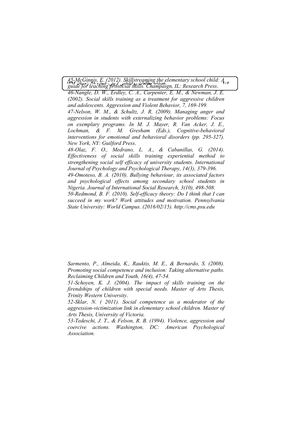**1396 (L5 28 .% #(8! #"G2+ 0\$F -***guide for teaching prosocial skills. Champaign, IL: Research Press*. **GE <sup>206</sup>** *45-McGinnis, E. (2012). Skillstreaming the elementary school child: A* 

*46-Nangle, D. W., Erdley, C. A., Carpenter, E. M., & Newman, J. E. (2002). Social skills training as a treatment for aggressive children and adolescents. Aggression and Violent Behavior, 7, 169-199. 47-Nelson, W. M., & Schultz, J. R. (2009). Managing anger and aggression in students with externalizing behavior problems: Focus on exemplary programs. In M. J. Mayer, R. Van Acker, J. E., Lochman, & F. M. Gresham (Eds.), Cognitive-behavioral interventions for emotional and behavioral disorders (pp. 295-327). New York, NY: Guilford Press*.

*48-Olaz, F. O., Medrano, L. A., & Cabanillas, G. (2014). Effectiveness of social skills training experiential method to strengthening social self efficacy of university students. International Journal of Psychology and Psychological Therapy, 14(3), 379-396. 49-Omoteso, B. A. (2010). Bullying behaviour, its associated factors and psychological effects among secondary school students in Nigeria. Journal of International Social Research, 3(10), 498-508. 50-Redmond, B. F. (2010). Self-efficacy theory: Do I think that I can succeed in my work? Work attitudes and motivation. Pennsylvania State University: World Campus. (2016/02/15). http://cms.psu.edu* 

*Sarmento, P., Almeida, K., Rauktis, M. E., & Bernardo, S. (2008). Promoting social competence and inclusion: Taking alternative paths. Reclaiming Children and Youth, 16(4), 47-54.* 

*51-Schoyen, K. J. (2004). The impact of skills training on the firendships of children with special needs. Master of Arts Thesis, Trinity Western University*.

*52-Sklar, N. ( 2011). Social competence as a moderator of the aggression-victimization link in elementary school children. Master of Arts Thesis, University of Victoria.*

*53-Tedeschi, J. T., & Felson, R. B. (1994). Violence, aggression and coercive actions. Washington, DC: American Psychological Association.*